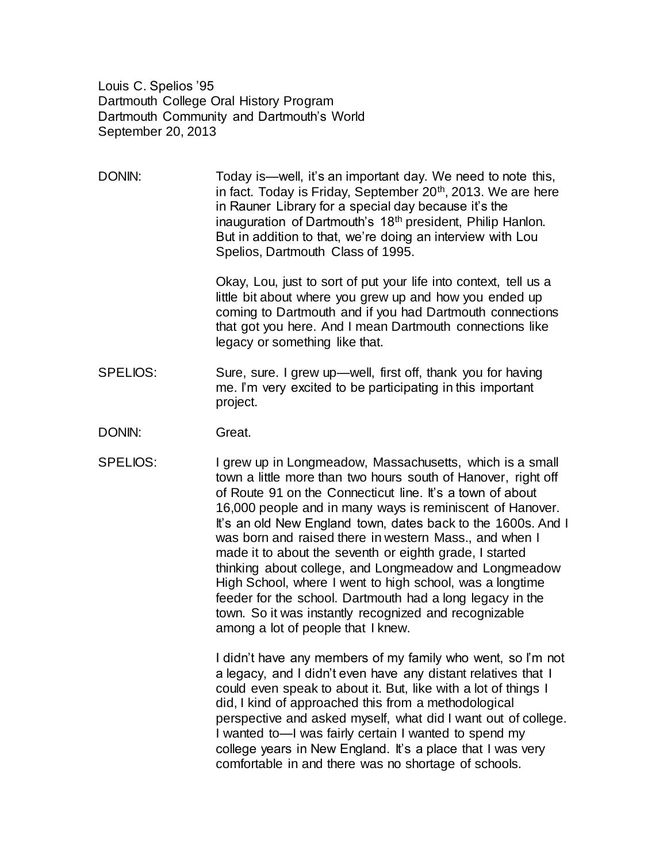Louis C. Spelios '95 Dartmouth College Oral History Program Dartmouth Community and Dartmouth's World September 20, 2013

DONIN: Today is—well, it's an important day. We need to note this, in fact. Today is Friday, September  $20<sup>th</sup>$ , 2013. We are here in Rauner Library for a special day because it's the inauguration of Dartmouth's 18<sup>th</sup> president, Philip Hanlon. But in addition to that, we're doing an interview with Lou Spelios, Dartmouth Class of 1995.

> Okay, Lou, just to sort of put your life into context, tell us a little bit about where you grew up and how you ended up coming to Dartmouth and if you had Dartmouth connections that got you here. And I mean Dartmouth connections like legacy or something like that.

- SPELIOS: Sure, sure. I grew up—well, first off, thank you for having me. I'm very excited to be participating in this important project.
- DONIN: Great.
- SPELIOS: I grew up in Longmeadow, Massachusetts, which is a small town a little more than two hours south of Hanover, right off of Route 91 on the Connecticut line. It's a town of about 16,000 people and in many ways is reminiscent of Hanover. It's an old New England town, dates back to the 1600s. And I was born and raised there in western Mass., and when I made it to about the seventh or eighth grade, I started thinking about college, and Longmeadow and Longmeadow High School, where I went to high school, was a longtime feeder for the school. Dartmouth had a long legacy in the town. So it was instantly recognized and recognizable among a lot of people that I knew.

I didn't have any members of my family who went, so I'm not a legacy, and I didn't even have any distant relatives that I could even speak to about it. But, like with a lot of things I did, I kind of approached this from a methodological perspective and asked myself, what did I want out of college. I wanted to—I was fairly certain I wanted to spend my college years in New England. It's a place that I was very comfortable in and there was no shortage of schools.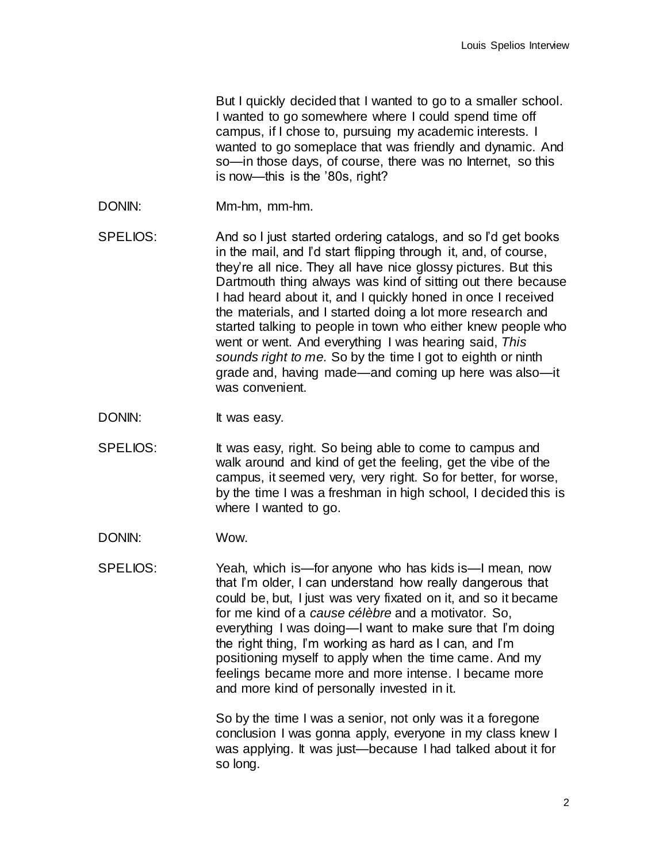But I quickly decided that I wanted to go to a smaller school. I wanted to go somewhere where I could spend time off campus, if I chose to, pursuing my academic interests. I wanted to go someplace that was friendly and dynamic. And so—in those days, of course, there was no Internet, so this is now—this is the '80s, right?

- DONIN: Mm-hm, mm-hm.
- SPELIOS: And so I just started ordering catalogs, and so I'd get books in the mail, and I'd start flipping through it, and, of course, they're all nice. They all have nice glossy pictures. But this Dartmouth thing always was kind of sitting out there because I had heard about it, and I quickly honed in once I received the materials, and I started doing a lot more research and started talking to people in town who either knew people who went or went. And everything I was hearing said, *This sounds right to me.* So by the time I got to eighth or ninth grade and, having made—and coming up here was also—it was convenient.
- DONIN: It was easy.
- SPELIOS: It was easy, right. So being able to come to campus and walk around and kind of get the feeling, get the vibe of the campus, it seemed very, very right. So for better, for worse, by the time I was a freshman in high school, I decided this is where I wanted to go.
- DONIN: Wow.
- SPELIOS: Yeah, which is—for anyone who has kids is—I mean, now that I'm older, I can understand how really dangerous that could be, but, I just was very fixated on it, and so it became for me kind of a *cause célèbre* and a motivator. So, everything I was doing—I want to make sure that I'm doing the right thing, I'm working as hard as I can, and I'm positioning myself to apply when the time came. And my feelings became more and more intense. I became more and more kind of personally invested in it.

So by the time I was a senior, not only was it a foregone conclusion I was gonna apply, everyone in my class knew I was applying. It was just—because I had talked about it for so long.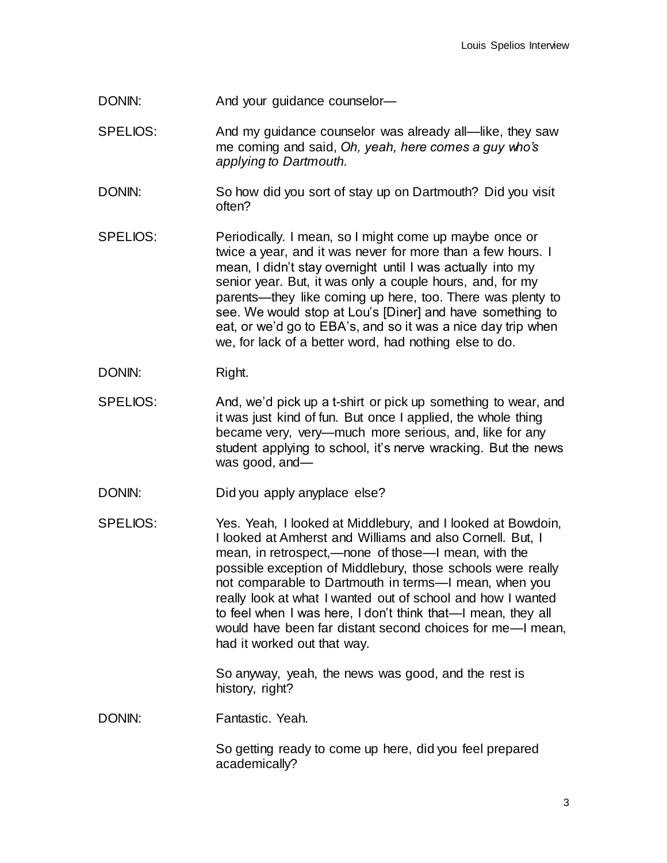- DONIN: And your guidance counselor-
- SPELIOS: And my guidance counselor was already all—like, they saw me coming and said, *Oh, yeah, here comes a guy who's applying to Dartmouth.*
- DONIN: So how did you sort of stay up on Dartmouth? Did you visit often?
- SPELIOS: Periodically. I mean, so I might come up maybe once or twice a year, and it was never for more than a few hours. I mean, I didn't stay overnight until I was actually into my senior year. But, it was only a couple hours, and, for my parents—they like coming up here, too. There was plenty to see. We would stop at Lou's [Diner] and have something to eat, or we'd go to EBA's, and so it was a nice day trip when we, for lack of a better word, had nothing else to do.
- DONIN: Right.
- SPELIOS: And, we'd pick up a t-shirt or pick up something to wear, and it was just kind of fun. But once I applied, the whole thing became very, very—much more serious, and, like for any student applying to school, it's nerve wracking. But the news was good, and—
- DONIN: Did you apply anyplace else?
- SPELIOS: Yes. Yeah, I looked at Middlebury, and I looked at Bowdoin, I looked at Amherst and Williams and also Cornell. But, I mean, in retrospect,—none of those—I mean, with the possible exception of Middlebury, those schools were really not comparable to Dartmouth in terms—I mean, when you really look at what I wanted out of school and how I wanted to feel when I was here, I don't think that—I mean, they all would have been far distant second choices for me—I mean, had it worked out that way.

So anyway, yeah, the news was good, and the rest is history, right?

DONIN: Fantastic. Yeah.

So getting ready to come up here, did you feel prepared academically?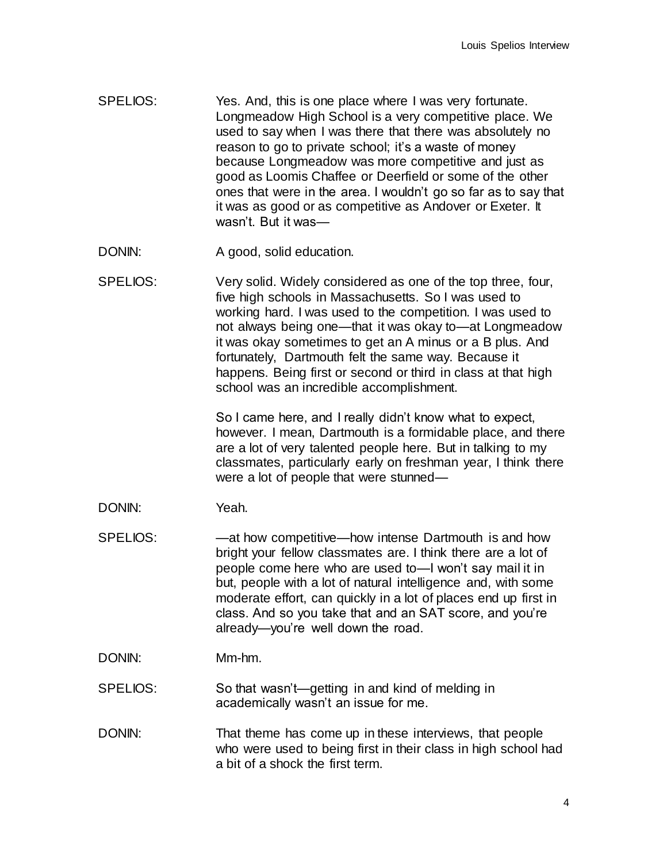- SPELIOS: Yes. And, this is one place where I was very fortunate. Longmeadow High School is a very competitive place. We used to say when I was there that there was absolutely no reason to go to private school; it's a waste of money because Longmeadow was more competitive and just as good as Loomis Chaffee or Deerfield or some of the other ones that were in the area. I wouldn't go so far as to say that it was as good or as competitive as Andover or Exeter. It wasn't But it was—
- DONIN: A good, solid education.
- SPELIOS: Very solid. Widely considered as one of the top three, four, five high schools in Massachusetts. So I was used to working hard. I was used to the competition. I was used to not always being one—that it was okay to—at Longmeadow it was okay sometimes to get an A minus or a B plus. And fortunately, Dartmouth felt the same way. Because it happens. Being first or second or third in class at that high school was an incredible accomplishment.

So I came here, and I really didn't know what to expect, however. I mean, Dartmouth is a formidable place, and there are a lot of very talented people here. But in talking to my classmates, particularly early on freshman year, I think there were a lot of people that were stunned—

- DONIN: Yeah.
- SPELIOS: —at how competitive—how intense Dartmouth is and how bright your fellow classmates are. I think there are a lot of people come here who are used to—I won't say mail it in but, people with a lot of natural intelligence and, with some moderate effort, can quickly in a lot of places end up first in class. And so you take that and an SAT score, and you're already—you're well down the road.
- DONIN: Mm-hm.
- SPELIOS: So that wasn't—getting in and kind of melding in academically wasn't an issue for me.
- DONIN: That theme has come up in these interviews, that people who were used to being first in their class in high school had a bit of a shock the first term.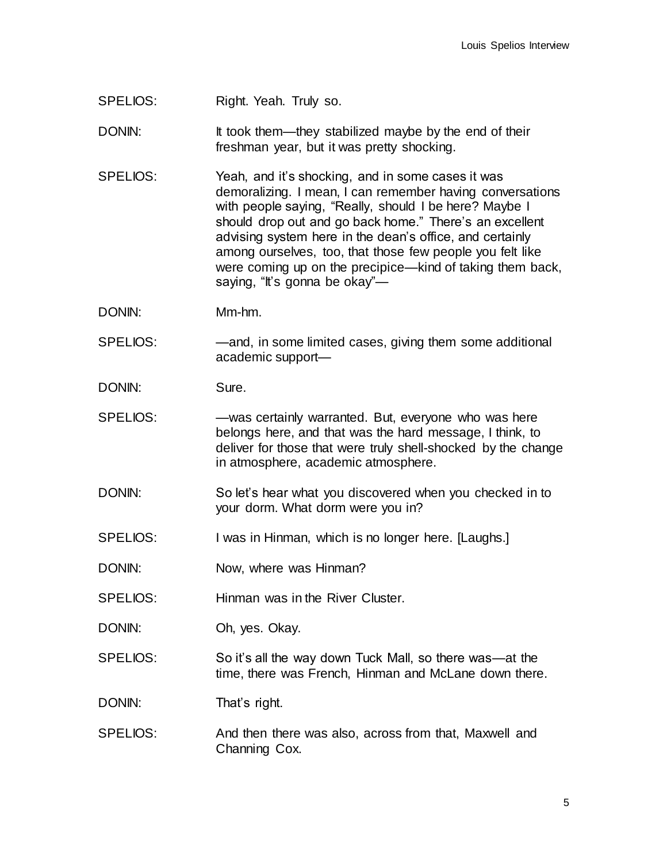SPELIOS: Right. Yeah. Truly so.

DONIN: It took them—they stabilized maybe by the end of their freshman year, but it was pretty shocking.

- SPELIOS: Yeah, and it's shocking, and in some cases it was demoralizing. I mean, I can remember having conversations with people saying, "Really, should I be here? Maybe I should drop out and go back home." There's an excellent advising system here in the dean's office, and certainly among ourselves, too, that those few people you felt like were coming up on the precipice—kind of taking them back, saying, "It's gonna be okay"-
- DONIN: Mm-hm.
- SPELIOS: —and, in some limited cases, giving them some additional academic support—
- DONIN: Sure.
- SPELIOS: —was certainly warranted. But, everyone who was here belongs here, and that was the hard message, I think, to deliver for those that were truly shell-shocked by the change in atmosphere, academic atmosphere.
- DONIN: So let's hear what you discovered when you checked in to your dorm. What dorm were you in?
- SPELIOS: I was in Hinman, which is no longer here. [Laughs.]
- DONIN: Now, where was Hinman?
- SPELIOS: Hinman was in the River Cluster.
- DONIN: Oh, yes. Okay.
- SPELIOS: So it's all the way down Tuck Mall, so there was—at the time, there was French, Hinman and McLane down there.

DONIN: That's right.

SPELIOS: And then there was also, across from that, Maxwell and Channing Cox.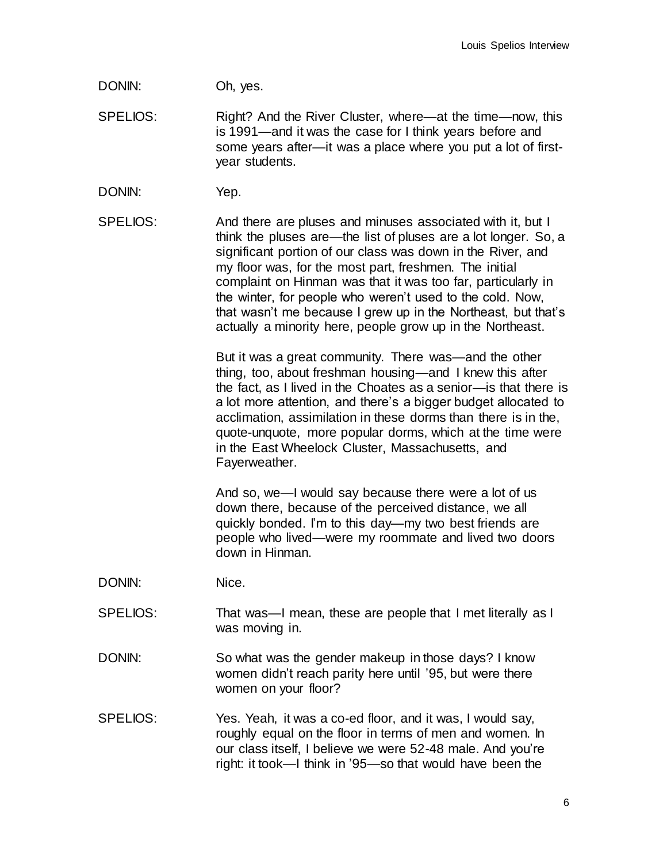## DONIN: Oh, yes.

SPELIOS: Right? And the River Cluster, where—at the time—now, this is 1991—and it was the case for I think years before and some years after—it was a place where you put a lot of firstyear students.

DONIN: Yep.

SPELIOS: And there are pluses and minuses associated with it, but I think the pluses are—the list of pluses are a lot longer. So, a significant portion of our class was down in the River, and my floor was, for the most part, freshmen. The initial complaint on Hinman was that it was too far, particularly in the winter, for people who weren't used to the cold. Now, that wasn't me because I grew up in the Northeast, but that's actually a minority here, people grow up in the Northeast.

> But it was a great community. There was—and the other thing, too, about freshman housing—and I knew this after the fact, as I lived in the Choates as a senior—is that there is a lot more attention, and there's a bigger budget allocated to acclimation, assimilation in these dorms than there is in the, quote-unquote, more popular dorms, which at the time were in the East Wheelock Cluster, Massachusetts, and Fayerweather.

And so, we—I would say because there were a lot of us down there, because of the perceived distance, we all quickly bonded. I'm to this day—my two best friends are people who lived—were my roommate and lived two doors down in Hinman.

- DONIN: Nice.
- SPELIOS: That was—I mean, these are people that I met literally as I was moving in.
- DONIN: So what was the gender makeup in those days? I know women didn't reach parity here until '95, but were there women on your floor?
- SPELIOS: Yes. Yeah, it was a co-ed floor, and it was, I would say, roughly equal on the floor in terms of men and women. In our class itself, I believe we were 52-48 male. And you're right: it took—I think in '95—so that would have been the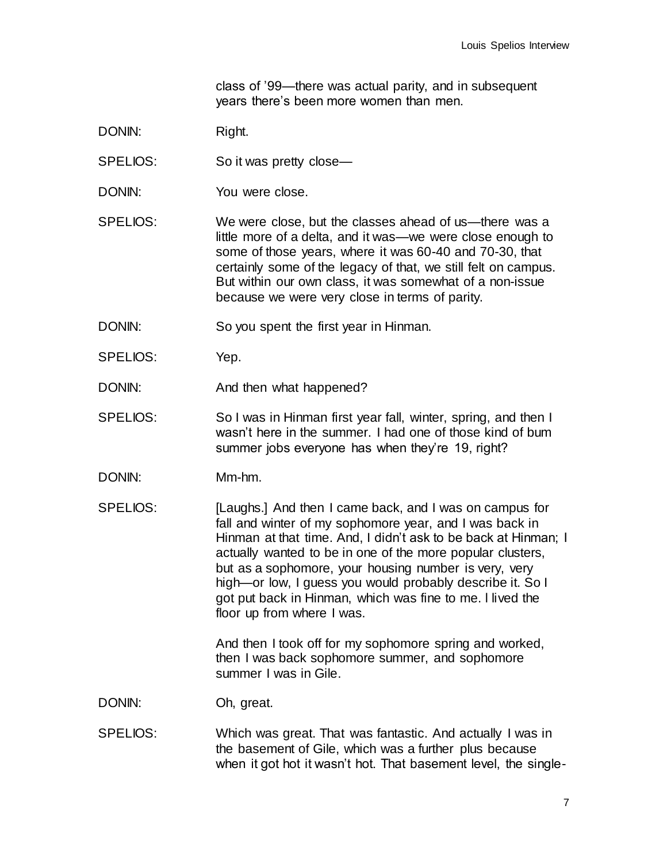class of '99—there was actual parity, and in subsequent years there's been more women than men.

- DONIN: Right.
- SPELIOS: So it was pretty close-
- DONIN: You were close.
- SPELIOS: We were close, but the classes ahead of us—there was a little more of a delta, and it was—we were close enough to some of those years, where it was 60-40 and 70-30, that certainly some of the legacy of that, we still felt on campus. But within our own class, it was somewhat of a non-issue because we were very close in terms of parity.
- DONIN: So you spent the first year in Hinman.
- SPELIOS: Yep.
- DONIN: And then what happened?
- SPELIOS: So I was in Hinman first year fall, winter, spring, and then I wasn't here in the summer. I had one of those kind of bum summer jobs everyone has when they're 19, right?
- DONIN: Mm-hm.
- SPELIOS: [Laughs.] And then I came back, and I was on campus for fall and winter of my sophomore year, and I was back in Hinman at that time. And, I didn't ask to be back at Hinman; I actually wanted to be in one of the more popular clusters, but as a sophomore, your housing number is very, very high—or low, I guess you would probably describe it. So I got put back in Hinman, which was fine to me. l lived the floor up from where I was.

And then I took off for my sophomore spring and worked, then I was back sophomore summer, and sophomore summer I was in Gile.

DONIN: Oh, great.

SPELIOS: Which was great. That was fantastic. And actually I was in the basement of Gile, which was a further plus because when it got hot it wasn't hot. That basement level, the single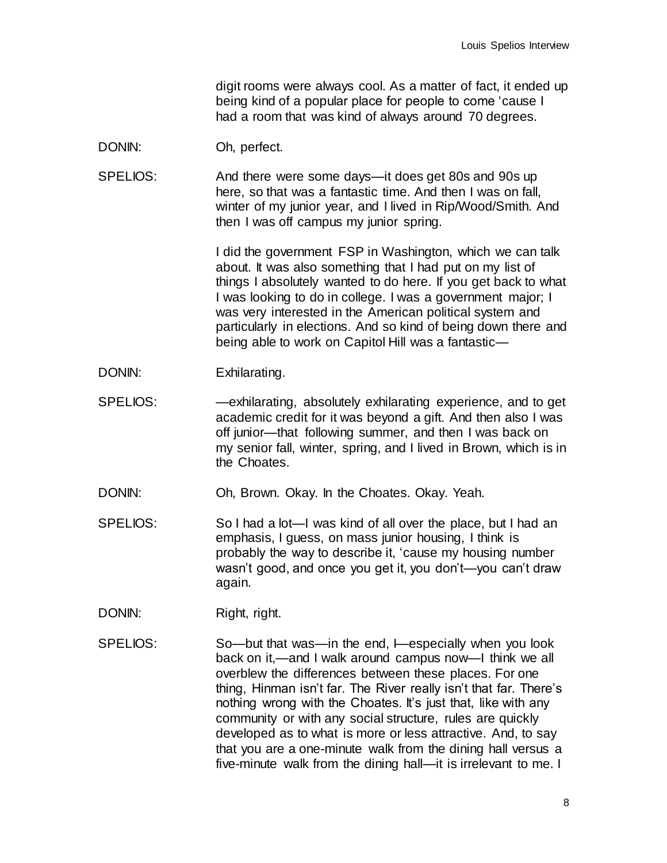digit rooms were always cool. As a matter of fact, it ended up being kind of a popular place for people to come 'cause I had a room that was kind of always around 70 degrees.

- DONIN: Oh, perfect.
- SPELIOS: And there were some days—it does get 80s and 90s up here, so that was a fantastic time. And then I was on fall, winter of my junior year, and I lived in Rip/Wood/Smith. And then I was off campus my junior spring.

I did the government FSP in Washington, which we can talk about. It was also something that I had put on my list of things I absolutely wanted to do here. If you get back to what I was looking to do in college. I was a government major; I was very interested in the American political system and particularly in elections. And so kind of being down there and being able to work on Capitol Hill was a fantastic—

- DONIN: Exhilarating.
- SPELIOS: —exhilarating, absolutely exhilarating experience, and to get academic credit for it was beyond a gift. And then also I was off junior—that following summer, and then I was back on my senior fall, winter, spring, and I lived in Brown, which is in the Choates.
- DONIN: Oh, Brown. Okay. In the Choates. Okay. Yeah.
- SPELIOS: So I had a lot—I was kind of all over the place, but I had an emphasis, I guess, on mass junior housing, I think is probably the way to describe it, 'cause my housing number wasn't good, and once you get it, you don't—you can't draw again.
- DONIN: Right, right.
- SPELIOS: So—but that was—in the end, I—especially when you look back on it,—and I walk around campus now—I think we all overblew the differences between these places. For one thing, Hinman isn't far. The River really isn't that far. There's nothing wrong with the Choates. It's just that, like with any community or with any social structure, rules are quickly developed as to what is more or less attractive. And, to say that you are a one-minute walk from the dining hall versus a five-minute walk from the dining hall—it is irrelevant to me. I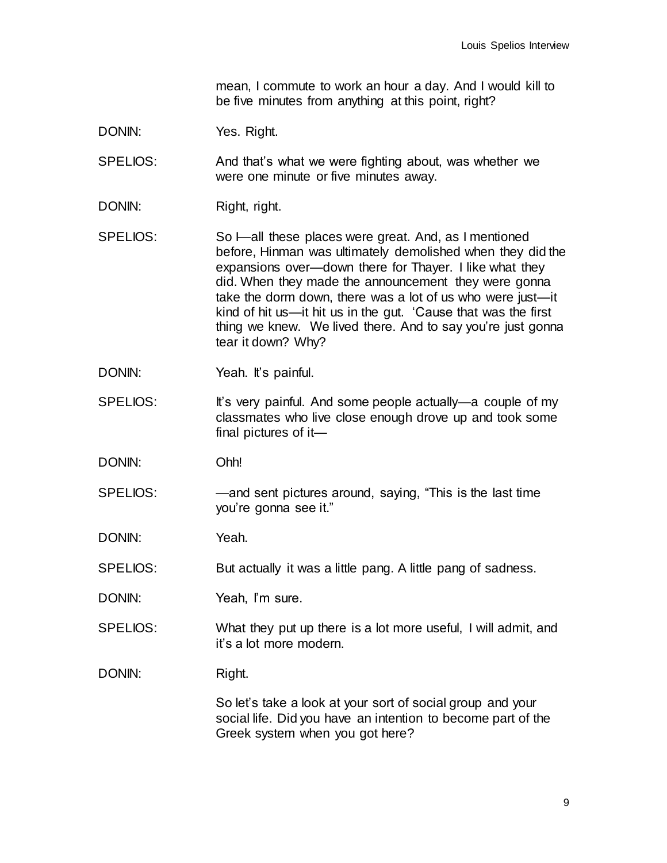mean, I commute to work an hour a day. And I would kill to be five minutes from anything at this point, right?

DONIN: Yes. Right.

SPELIOS: And that's what we were fighting about, was whether we were one minute or five minutes away.

- DONIN: Right, right.
- SPELIOS: So I—all these places were great. And, as I mentioned before, Hinman was ultimately demolished when they did the expansions over—down there for Thayer. I like what they did. When they made the announcement they were gonna take the dorm down, there was a lot of us who were just—it kind of hit us—it hit us in the gut. 'Cause that was the first thing we knew. We lived there. And to say you're just gonna tear it down? Why?
- DONIN: Yeah. It's painful.
- SPELIOS: It's very painful. And some people actually—a couple of my classmates who live close enough drove up and took some final pictures of it—
- DONIN: Ohh!
- SPELIOS: —and sent pictures around, saying, "This is the last time you're gonna see it."

DONIN: Yeah.

SPELIOS: But actually it was a little pang. A little pang of sadness.

- DONIN: Yeah, I'm sure.
- SPELIOS: What they put up there is a lot more useful, I will admit, and it's a lot more modern.

DONIN: Right.

So let's take a look at your sort of social group and your social life. Did you have an intention to become part of the Greek system when you got here?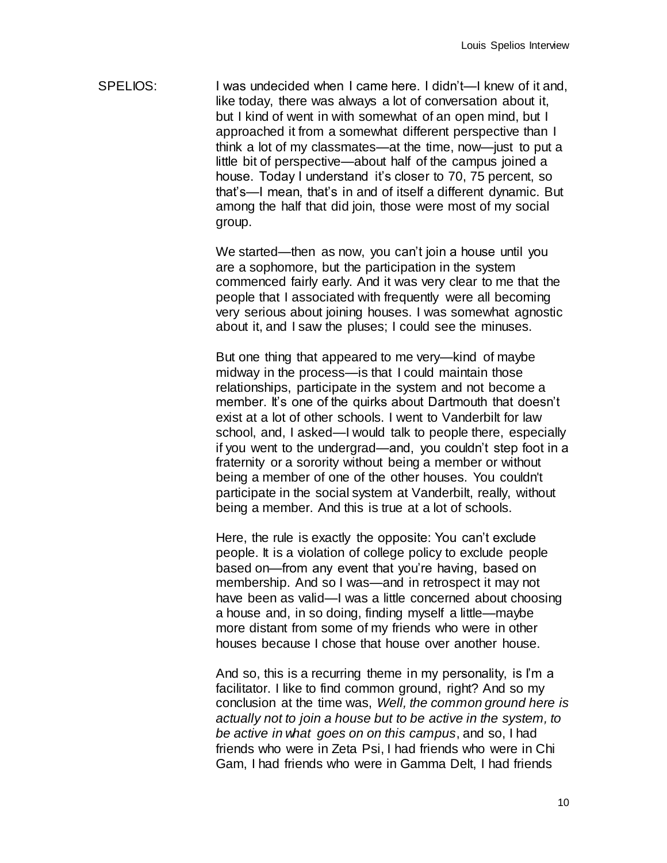SPELIOS: I was undecided when I came here. I didn't—I knew of it and, like today, there was always a lot of conversation about it, but I kind of went in with somewhat of an open mind, but I approached it from a somewhat different perspective than I think a lot of my classmates—at the time, now—just to put a little bit of perspective—about half of the campus joined a house. Today I understand it's closer to 70, 75 percent, so that's—I mean, that's in and of itself a different dynamic. But among the half that did join, those were most of my social group.

> We started—then as now, you can't join a house until you are a sophomore, but the participation in the system commenced fairly early. And it was very clear to me that the people that I associated with frequently were all becoming very serious about joining houses. I was somewhat agnostic about it, and I saw the pluses; I could see the minuses.

But one thing that appeared to me very—kind of maybe midway in the process—is that I could maintain those relationships, participate in the system and not become a member. It's one of the quirks about Dartmouth that doesn't exist at a lot of other schools. I went to Vanderbilt for law school, and, I asked—I would talk to people there, especially if you went to the undergrad—and, you couldn't step foot in a fraternity or a sorority without being a member or without being a member of one of the other houses. You couldn't participate in the social system at Vanderbilt, really, without being a member. And this is true at a lot of schools.

Here, the rule is exactly the opposite: You can't exclude people. It is a violation of college policy to exclude people based on—from any event that you're having, based on membership. And so I was—and in retrospect it may not have been as valid—I was a little concerned about choosing a house and, in so doing, finding myself a little—maybe more distant from some of my friends who were in other houses because I chose that house over another house.

And so, this is a recurring theme in my personality, is I'm a facilitator. I like to find common ground, right? And so my conclusion at the time was, *Well, the common ground here is actually not to join a house but to be active in the system, to be active in what goes on on this campus*, and so, I had friends who were in Zeta Psi, I had friends who were in Chi Gam, I had friends who were in Gamma Delt, I had friends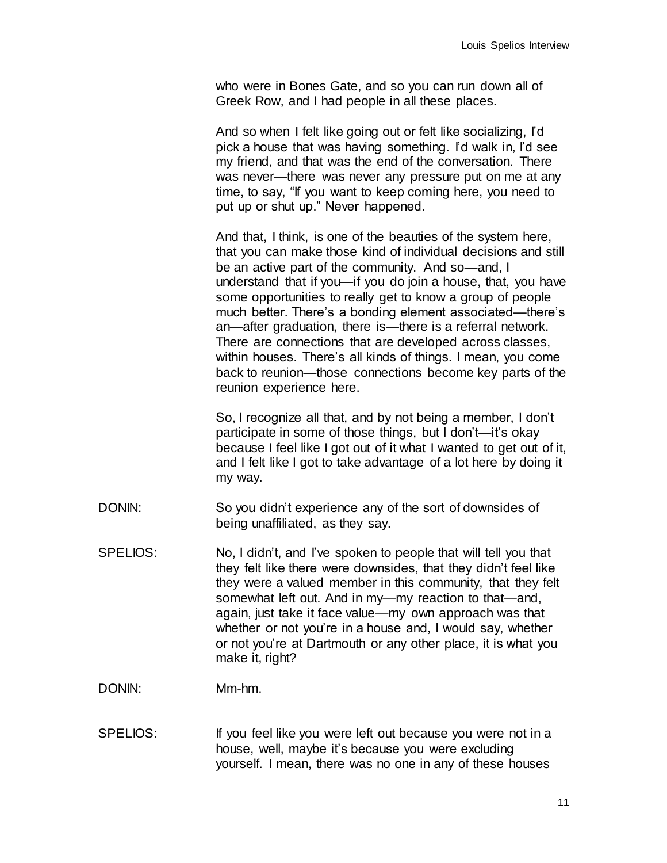who were in Bones Gate, and so you can run down all of Greek Row, and I had people in all these places.

And so when I felt like going out or felt like socializing, I'd pick a house that was having something. I'd walk in, I'd see my friend, and that was the end of the conversation. There was never—there was never any pressure put on me at any time, to say, "If you want to keep coming here, you need to put up or shut up." Never happened.

And that, I think, is one of the beauties of the system here, that you can make those kind of individual decisions and still be an active part of the community. And so—and, I understand that if you—if you do join a house, that, you have some opportunities to really get to know a group of people much better. There's a bonding element associated—there's an—after graduation, there is—there is a referral network. There are connections that are developed across classes, within houses. There's all kinds of things. I mean, you come back to reunion—those connections become key parts of the reunion experience here.

So, I recognize all that, and by not being a member, I don't participate in some of those things, but I don't—it's okay because I feel like I got out of it what I wanted to get out of it, and I felt like I got to take advantage of a lot here by doing it my way.

- DONIN: So you didn't experience any of the sort of downsides of being unaffiliated, as they say.
- SPELIOS: No, I didn't, and I've spoken to people that will tell you that they felt like there were downsides, that they didn't feel like they were a valued member in this community, that they felt somewhat left out. And in my—my reaction to that—and, again, just take it face value—my own approach was that whether or not you're in a house and, I would say, whether or not you're at Dartmouth or any other place, it is what you make it, right?

DONIN: Mm-hm.

SPELIOS: If you feel like you were left out because you were not in a house, well, maybe it's because you were excluding yourself. I mean, there was no one in any of these houses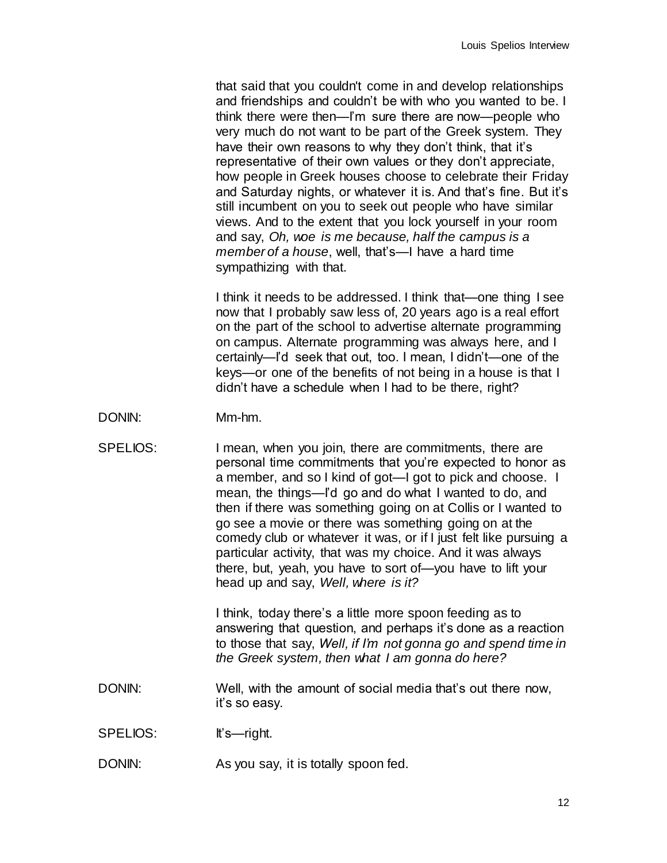that said that you couldn't come in and develop relationships and friendships and couldn't be with who you wanted to be. I think there were then—I'm sure there are now—people who very much do not want to be part of the Greek system. They have their own reasons to why they don't think, that it's representative of their own values or they don't appreciate, how people in Greek houses choose to celebrate their Friday and Saturday nights, or whatever it is. And that's fine. But it's still incumbent on you to seek out people who have similar views. And to the extent that you lock yourself in your room and say, *Oh, woe is me because, half the campus is a member of a house*, well, that's—I have a hard time sympathizing with that.

I think it needs to be addressed. I think that—one thing I see now that I probably saw less of, 20 years ago is a real effort on the part of the school to advertise alternate programming on campus. Alternate programming was always here, and I certainly—I'd seek that out, too. I mean, I didn't—one of the keys—or one of the benefits of not being in a house is that I didn't have a schedule when I had to be there, right?

- DONIN: Mm-hm.
- SPELIOS: I mean, when you join, there are commitments, there are personal time commitments that you're expected to honor as a member, and so I kind of got—I got to pick and choose. I mean, the things—I'd go and do what I wanted to do, and then if there was something going on at Collis or I wanted to go see a movie or there was something going on at the comedy club or whatever it was, or if I just felt like pursuing a particular activity, that was my choice. And it was always there, but, yeah, you have to sort of—you have to lift your head up and say, *Well, where is it?*

I think, today there's a little more spoon feeding as to answering that question, and perhaps it's done as a reaction to those that say, *Well, if I'm not gonna go and spend time in the Greek system, then what I am gonna do here?*

- DONIN: Well, with the amount of social media that's out there now, it's so easy.
- SPELIOS: It's—right.
- DONIN: As you say, it is totally spoon fed.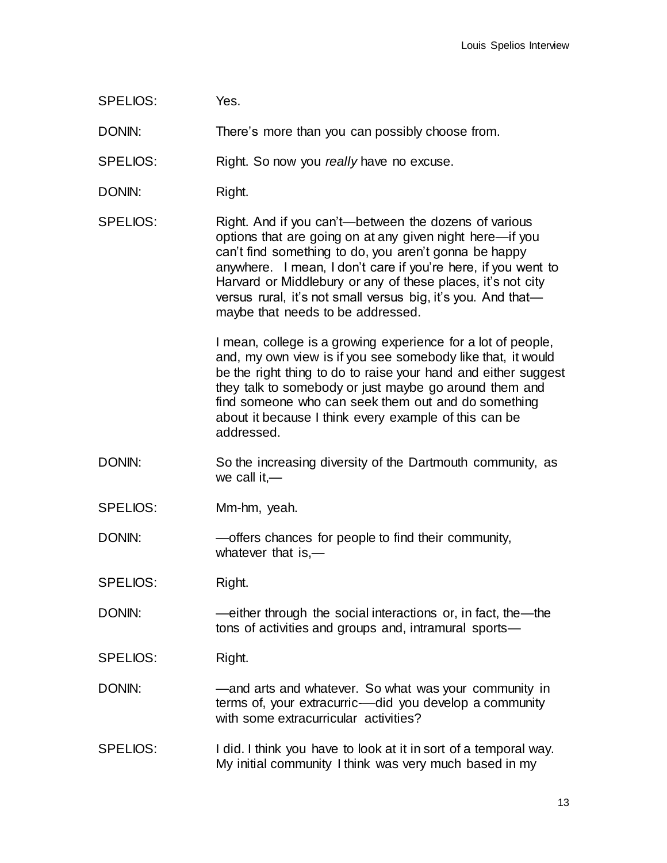SPELIOS: Yes.

DONIN: There's more than you can possibly choose from.

SPELIOS: Right. So now you *really* have no excuse.

- DONIN: Right.
- SPELIOS: Right. And if you can't—between the dozens of various options that are going on at any given night here—if you can't find something to do, you aren't gonna be happy anywhere. I mean, I don't care if you're here, if you went to Harvard or Middlebury or any of these places, it's not city versus rural, it's not small versus big, it's you. And that maybe that needs to be addressed.

I mean, college is a growing experience for a lot of people, and, my own view is if you see somebody like that, it would be the right thing to do to raise your hand and either suggest they talk to somebody or just maybe go around them and find someone who can seek them out and do something about it because I think every example of this can be addressed.

- DONIN: So the increasing diversity of the Dartmouth community, as we call it,—
- SPELIOS: Mm-hm, yeah.
- DONIN: —offers chances for people to find their community, whatever that is,—
- SPELIOS: Right.
- DONIN: —either through the social interactions or, in fact, the—the tons of activities and groups and, intramural sports—
- SPELIOS: Right.
- DONIN: —and arts and whatever. So what was your community in terms of, your extracurric-—did you develop a community with some extracurricular activities?
- SPELIOS: I did. I think you have to look at it in sort of a temporal way. My initial community I think was very much based in my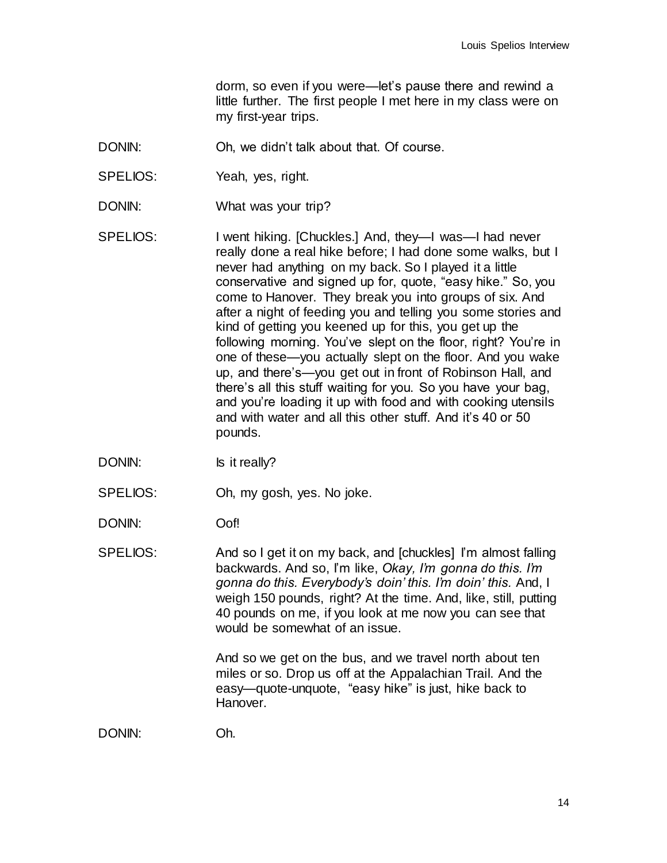dorm, so even if you were—let's pause there and rewind a little further. The first people I met here in my class were on my first-year trips.

- DONIN: Oh, we didn't talk about that. Of course.
- SPELIOS: Yeah, yes, right.
- DONIN: What was your trip?
- SPELIOS: I went hiking. [Chuckles.] And, they—I was—I had never really done a real hike before; I had done some walks, but I never had anything on my back. So I played it a little conservative and signed up for, quote, "easy hike." So, you come to Hanover. They break you into groups of six. And after a night of feeding you and telling you some stories and kind of getting you keened up for this, you get up the following morning. You've slept on the floor, right? You're in one of these—you actually slept on the floor. And you wake up, and there's—you get out in front of Robinson Hall, and there's all this stuff waiting for you. So you have your bag, and you're loading it up with food and with cooking utensils and with water and all this other stuff. And it's 40 or 50 pounds.
- DONIN: Is it really?
- SPELIOS: Oh, my gosh, yes. No joke.
- DONIN: Oof!
- SPELIOS: And so I get it on my back, and [chuckles] I'm almost falling backwards. And so, I'm like, *Okay, I'm gonna do this. I'm gonna do this. Everybody's doin' this. I'm doin' this.* And, I weigh 150 pounds, right? At the time. And, like, still, putting 40 pounds on me, if you look at me now you can see that would be somewhat of an issue.

And so we get on the bus, and we travel north about ten miles or so. Drop us off at the Appalachian Trail. And the easy—quote-unquote, "easy hike" is just, hike back to Hanover.

DONIN: Oh.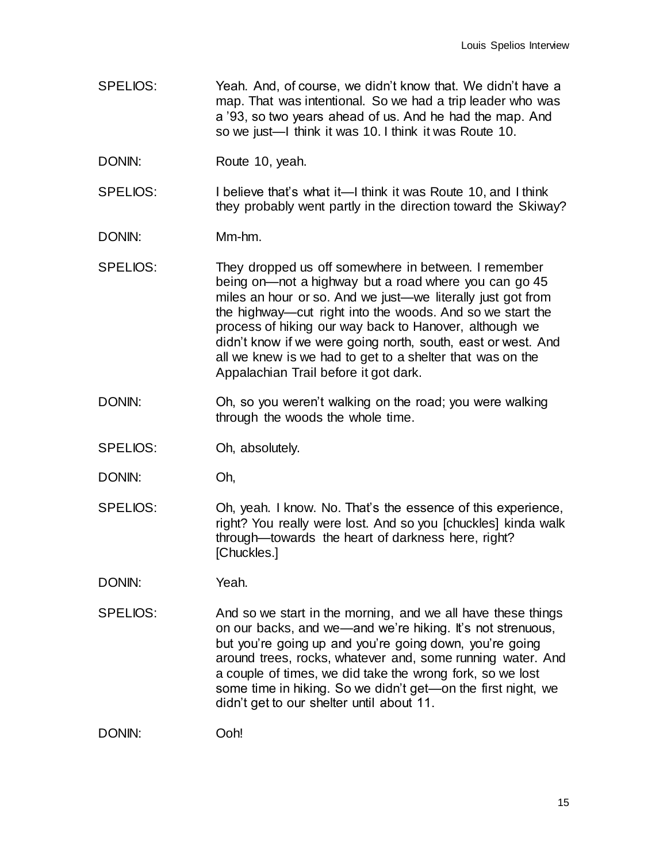- SPELIOS: Yeah. And, of course, we didn't know that. We didn't have a map. That was intentional. So we had a trip leader who was a '93, so two years ahead of us. And he had the map. And so we just—I think it was 10. I think it was Route 10.
- DONIN: Route 10, yeah.
- SPELIOS: I believe that's what it—I think it was Route 10, and I think they probably went partly in the direction toward the Skiway?
- DONIN: Mm-hm.
- SPELIOS: They dropped us off somewhere in between. I remember being on—not a highway but a road where you can go 45 miles an hour or so. And we just—we literally just got from the highway—cut right into the woods. And so we start the process of hiking our way back to Hanover, although we didn't know if we were going north, south, east or west. And all we knew is we had to get to a shelter that was on the Appalachian Trail before it got dark.
- DONIN: Oh, so you weren't walking on the road; you were walking through the woods the whole time.
- SPELIOS: Oh, absolutely.
- DONIN: Oh,
- SPELIOS: Oh, yeah. I know. No. That's the essence of this experience, right? You really were lost. And so you [chuckles] kinda walk through—towards the heart of darkness here, right? [Chuckles.]
- DONIN: Yeah.
- SPELIOS: And so we start in the morning, and we all have these things on our backs, and we—and we're hiking. It's not strenuous, but you're going up and you're going down, you're going around trees, rocks, whatever and, some running water. And a couple of times, we did take the wrong fork, so we lost some time in hiking. So we didn't get—on the first night, we didn't get to our shelter until about 11.

DONIN: Ooh!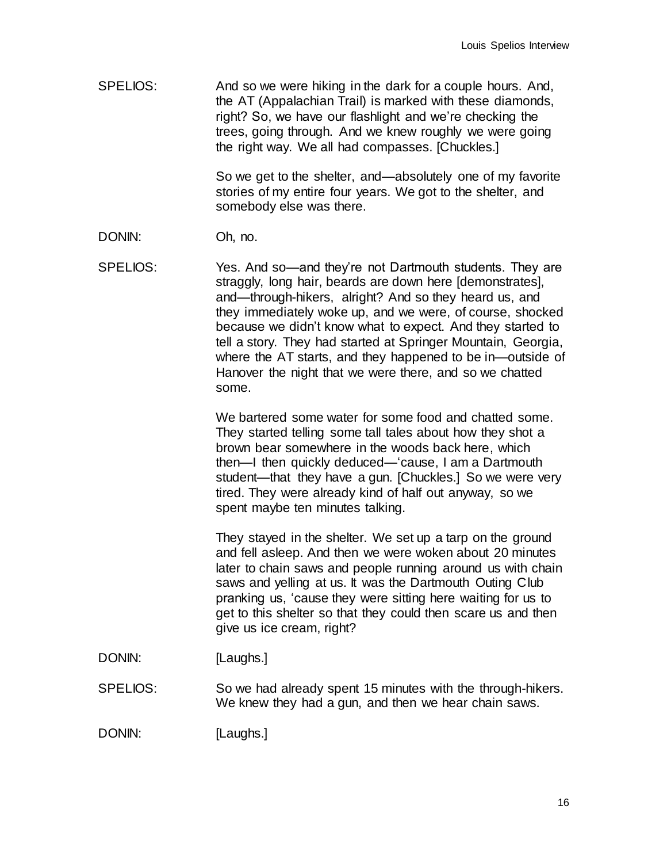SPELIOS: And so we were hiking in the dark for a couple hours. And, the AT (Appalachian Trail) is marked with these diamonds, right? So, we have our flashlight and we're checking the trees, going through. And we knew roughly we were going the right way. We all had compasses. [Chuckles.]

> So we get to the shelter, and—absolutely one of my favorite stories of my entire four years. We got to the shelter, and somebody else was there.

- DONIN: Oh, no.
- SPELIOS: Yes. And so—and they're not Dartmouth students. They are straggly, long hair, beards are down here [demonstrates], and—through-hikers, alright? And so they heard us, and they immediately woke up, and we were, of course, shocked because we didn't know what to expect. And they started to tell a story. They had started at Springer Mountain, Georgia, where the AT starts, and they happened to be in—outside of Hanover the night that we were there, and so we chatted some.

We bartered some water for some food and chatted some. They started telling some tall tales about how they shot a brown bear somewhere in the woods back here, which then—I then quickly deduced—'cause, I am a Dartmouth student—that they have a gun. [Chuckles.] So we were very tired. They were already kind of half out anyway, so we spent maybe ten minutes talking.

They stayed in the shelter. We set up a tarp on the ground and fell asleep. And then we were woken about 20 minutes later to chain saws and people running around us with chain saws and yelling at us. It was the Dartmouth Outing Club pranking us, 'cause they were sitting here waiting for us to get to this shelter so that they could then scare us and then give us ice cream, right?

- DONIN: [Laughs.]
- SPELIOS: So we had already spent 15 minutes with the through-hikers. We knew they had a gun, and then we hear chain saws.

DONIN: [Laughs.]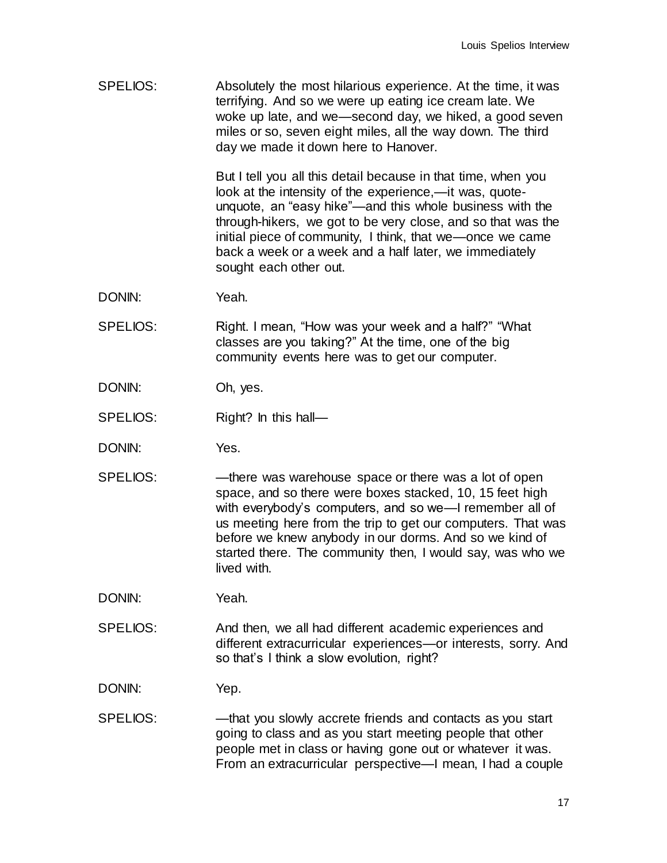SPELIOS: Absolutely the most hilarious experience. At the time, it was terrifying. And so we were up eating ice cream late. We woke up late, and we—second day, we hiked, a good seven miles or so, seven eight miles, all the way down. The third day we made it down here to Hanover.

> But I tell you all this detail because in that time, when you look at the intensity of the experience,—it was, quoteunquote, an "easy hike"—and this whole business with the through-hikers, we got to be very close, and so that was the initial piece of community, I think, that we—once we came back a week or a week and a half later, we immediately sought each other out.

- DONIN: Yeah.
- SPELIOS: Right. I mean, "How was your week and a half?" "What classes are you taking?" At the time, one of the big community events here was to get our computer.
- DONIN: Oh, yes.
- SPELIOS: Right? In this hall—
- DONIN: Yes.
- SPELIOS: there was warehouse space or there was a lot of open space, and so there were boxes stacked, 10, 15 feet high with everybody's computers, and so we—I remember all of us meeting here from the trip to get our computers. That was before we knew anybody in our dorms. And so we kind of started there. The community then, I would say, was who we lived with.

DONIN: Yeah.

- SPELIOS: And then, we all had different academic experiences and different extracurricular experiences—or interests, sorry. And so that's I think a slow evolution, right?
- DONIN: Yep.
- SPELIOS: —that you slowly accrete friends and contacts as you start going to class and as you start meeting people that other people met in class or having gone out or whatever it was. From an extracurricular perspective—I mean, I had a couple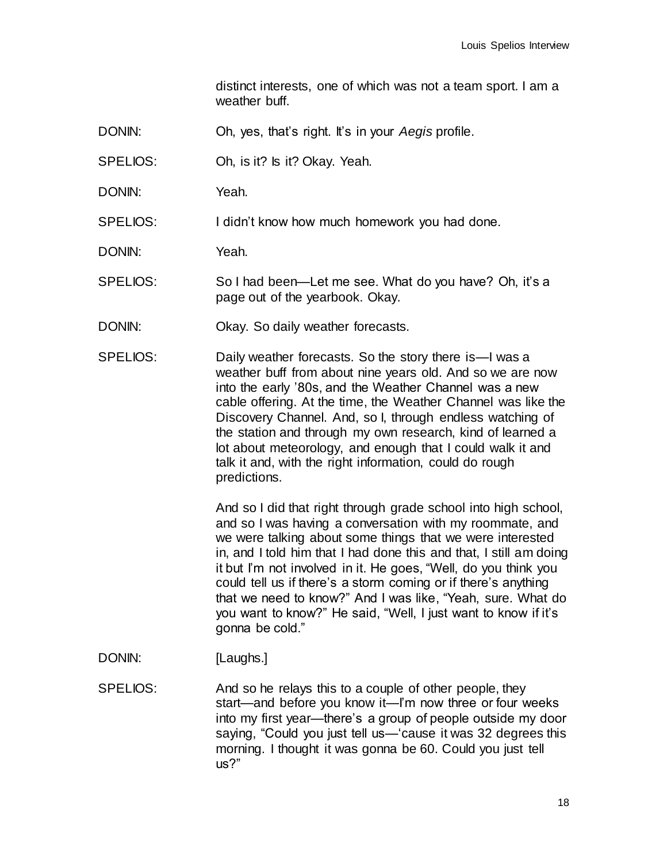distinct interests, one of which was not a team sport. I am a weather buff.

- DONIN: Oh, yes, that's right. It's in your *Aegis* profile.
- SPELIOS: Oh, is it? Is it? Okay. Yeah.
- DONIN: Yeah.

SPELIOS: I didn't know how much homework you had done.

DONIN: Yeah.

- SPELIOS: So I had been—Let me see. What do you have? Oh, it's a page out of the yearbook. Okay.
- DONIN: Okay. So daily weather forecasts.
- SPELIOS: Daily weather forecasts. So the story there is—I was a weather buff from about nine years old. And so we are now into the early '80s, and the Weather Channel was a new cable offering. At the time, the Weather Channel was like the Discovery Channel. And, so I, through endless watching of the station and through my own research, kind of learned a lot about meteorology, and enough that I could walk it and talk it and, with the right information, could do rough predictions.

And so I did that right through grade school into high school, and so I was having a conversation with my roommate, and we were talking about some things that we were interested in, and I told him that I had done this and that, I still am doing it but I'm not involved in it. He goes, "Well, do you think you could tell us if there's a storm coming or if there's anything that we need to know?" And I was like, "Yeah, sure. What do you want to know?" He said, "Well, I just want to know if it's gonna be cold."

- DONIN: [Laughs.]
- SPELIOS: And so he relays this to a couple of other people, they start—and before you know it—I'm now three or four weeks into my first year—there's a group of people outside my door saying, "Could you just tell us—'cause it was 32 degrees this morning. I thought it was gonna be 60. Could you just tell us?"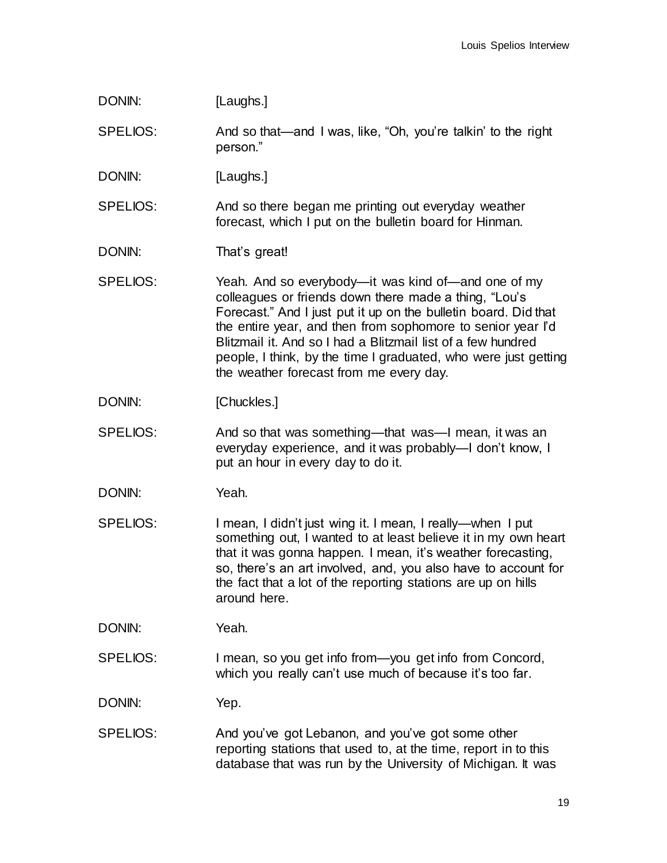| DONIN:          | [Laughs.]                                                                                                                                                                                                                                                                                                                                                                                                                    |
|-----------------|------------------------------------------------------------------------------------------------------------------------------------------------------------------------------------------------------------------------------------------------------------------------------------------------------------------------------------------------------------------------------------------------------------------------------|
| SPELIOS:        | And so that—and I was, like, "Oh, you're talkin' to the right<br>person."                                                                                                                                                                                                                                                                                                                                                    |
| DONIN:          | [Laughs.]                                                                                                                                                                                                                                                                                                                                                                                                                    |
| SPELIOS:        | And so there began me printing out everyday weather<br>forecast, which I put on the bulletin board for Hinman.                                                                                                                                                                                                                                                                                                               |
| DONIN:          | That's great!                                                                                                                                                                                                                                                                                                                                                                                                                |
| SPELIOS:        | Yeah. And so everybody—it was kind of—and one of my<br>colleagues or friends down there made a thing, "Lou's<br>Forecast." And I just put it up on the bulletin board. Did that<br>the entire year, and then from sophomore to senior year I'd<br>Blitzmail it. And so I had a Blitzmail list of a few hundred<br>people, I think, by the time I graduated, who were just getting<br>the weather forecast from me every day. |
| DONIN:          | [Chuckles.]                                                                                                                                                                                                                                                                                                                                                                                                                  |
| <b>SPELIOS:</b> | And so that was something—that was—I mean, it was an<br>everyday experience, and it was probably-I don't know, I<br>put an hour in every day to do it.                                                                                                                                                                                                                                                                       |
| DONIN:          | Yeah.                                                                                                                                                                                                                                                                                                                                                                                                                        |
| <b>SPELIOS:</b> | I mean, I didn't just wing it. I mean, I really—when I put<br>something out, I wanted to at least believe it in my own heart<br>that it was gonna happen. I mean, it's weather forecasting,<br>so, there's an art involved, and, you also have to account for<br>the fact that a lot of the reporting stations are up on hills<br>around here.                                                                               |
| DONIN:          | Yeah.                                                                                                                                                                                                                                                                                                                                                                                                                        |
| <b>SPELIOS:</b> | I mean, so you get info from-you get info from Concord,<br>which you really can't use much of because it's too far.                                                                                                                                                                                                                                                                                                          |
| DONIN:          | Yep.                                                                                                                                                                                                                                                                                                                                                                                                                         |
| SPELIOS:        | And you've got Lebanon, and you've got some other<br>reporting stations that used to, at the time, report in to this<br>database that was run by the University of Michigan. It was                                                                                                                                                                                                                                          |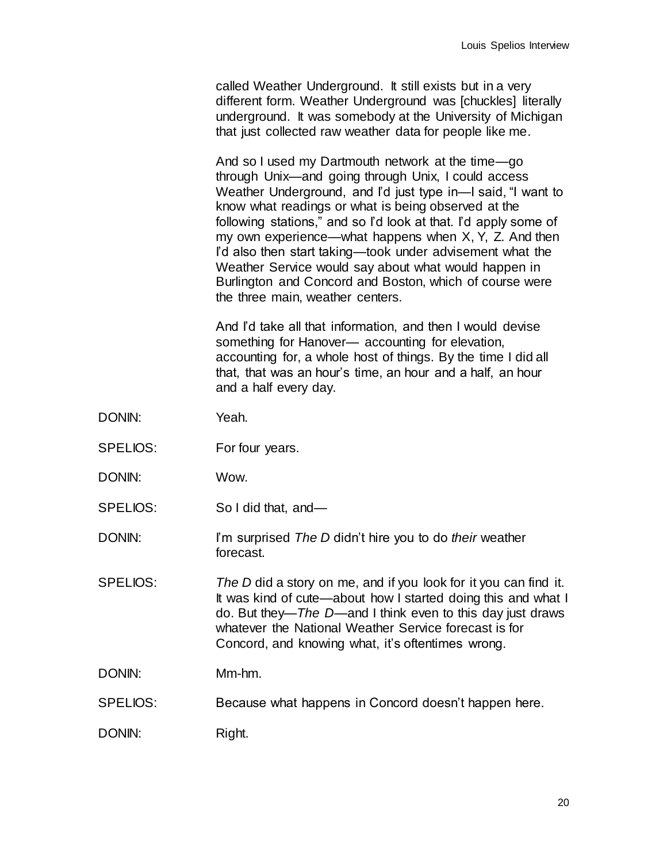called Weather Underground. It still exists but in a very different form. Weather Underground was [chuckles] literally underground. It was somebody at the University of Michigan that just collected raw weather data for people like me.

And so I used my Dartmouth network at the time—go through Unix—and going through Unix, I could access Weather Underground, and <sup>r'd</sup> just type in—I said, "I want to know what readings or what is being observed at the following stations," and so I'd look at that. I'd apply some of my own experience—what happens when X, Y, Z. And then I'd also then start taking—took under advisement what the Weather Service would say about what would happen in Burlington and Concord and Boston, which of course were the three main, weather centers.

And I'd take all that information, and then I would devise something for Hanover— accounting for elevation, accounting for, a whole host of things. By the time I did all that, that was an hour's time, an hour and a half, an hour and a half every day.

- DONIN: Yeah.
- SPELIOS: For four years.
- DONIN: Wow.
- SPELIOS: So I did that, and—
- DONIN: I'm surprised *The D* didn't hire you to do *their* weather forecast.
- SPELIOS: *The D* did a story on me, and if you look for it you can find it. It was kind of cute—about how I started doing this and what I do. But they—*The D*—and I think even to this day just draws whatever the National Weather Service forecast is for Concord, and knowing what, it's oftentimes wrong.
- DONIN: Mm-hm.
- SPELIOS: Because what happens in Concord doesn't happen here.

DONIN: Right.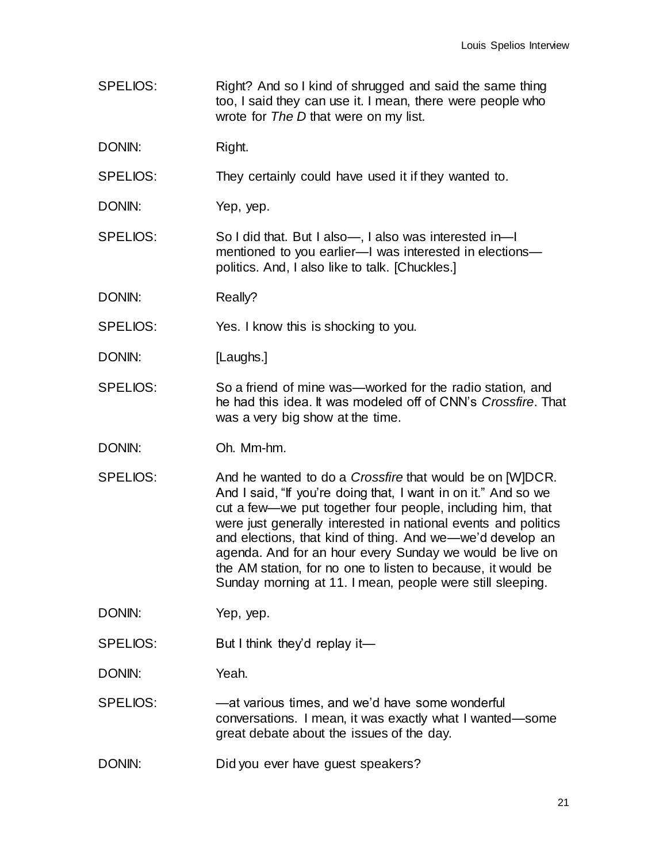SPELIOS: Right? And so I kind of shrugged and said the same thing too, I said they can use it. I mean, there were people who wrote for *The D* that were on my list.

DONIN: Right.

SPELIOS: They certainly could have used it if they wanted to.

DONIN: Yep, yep.

SPELIOS: So I did that. But I also—, I also was interested in—I mentioned to you earlier—I was interested in elections politics. And, I also like to talk. [Chuckles.]

DONIN: Really?

SPELIOS: Yes. I know this is shocking to you.

DONIN: [Laughs.]

- SPELIOS: So a friend of mine was—worked for the radio station, and he had this idea. It was modeled off of CNN's *Crossfire*. That was a very big show at the time.
- DONIN: Oh. Mm-hm.
- SPELIOS: And he wanted to do a *Crossfire* that would be on [W]DCR. And I said, "If you're doing that, I want in on it." And so we cut a few—we put together four people, including him, that were just generally interested in national events and politics and elections, that kind of thing. And we—we'd develop an agenda. And for an hour every Sunday we would be live on the AM station, for no one to listen to because, it would be Sunday morning at 11. I mean, people were still sleeping.

DONIN: Yep, yep.

SPELIOS: But I think they'd replay it—

DONIN: Yeah.

SPELIOS: —at various times, and we'd have some wonderful conversations. I mean, it was exactly what I wanted—some great debate about the issues of the day.

DONIN: Did you ever have quest speakers?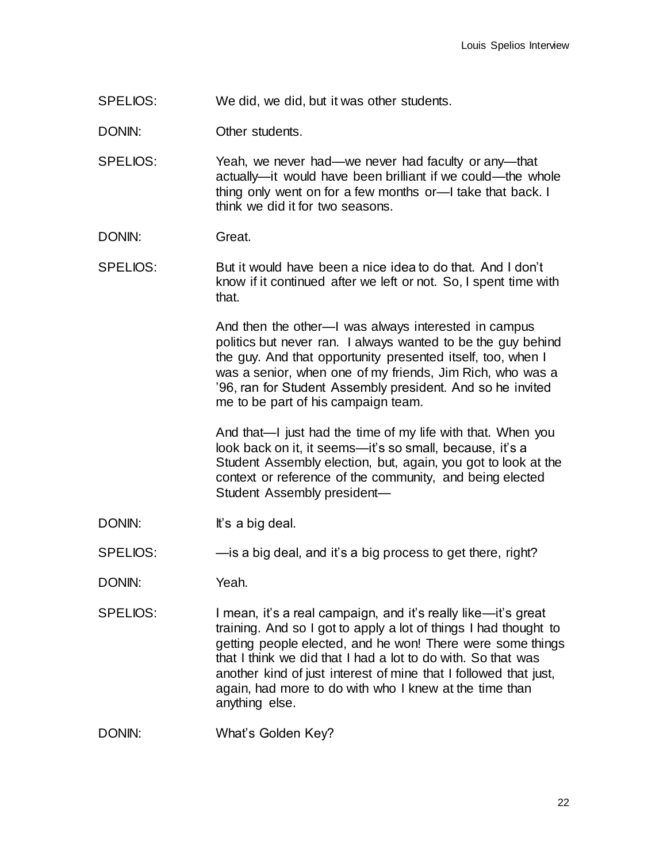SPELIOS: We did, we did, but it was other students.

DONIN: Other students.

SPELIOS: Yeah, we never had—we never had faculty or any—that actually—it would have been brilliant if we could—the whole thing only went on for a few months or—I take that back. I think we did it for two seasons.

- DONIN: Great.
- SPELIOS: But it would have been a nice idea to do that. And I don't know if it continued after we left or not. So, I spent time with that.

And then the other—I was always interested in campus politics but never ran. I always wanted to be the guy behind the guy. And that opportunity presented itself, too, when I was a senior, when one of my friends, Jim Rich, who was a '96, ran for Student Assembly president. And so he invited me to be part of his campaign team.

And that—I just had the time of my life with that. When you look back on it, it seems—it's so small, because, it's a Student Assembly election, but, again, you got to look at the context or reference of the community, and being elected Student Assembly president—

- DONIN: It's a big deal.
- SPELIOS: —is a big deal, and it's a big process to get there, right?
- DONIN: Yeah.
- SPELIOS: I mean, it's a real campaign, and it's really like—it's great training. And so I got to apply a lot of things I had thought to getting people elected, and he won! There were some things that I think we did that I had a lot to do with. So that was another kind of just interest of mine that I followed that just, again, had more to do with who I knew at the time than anything else.

DONIN: What's Golden Key?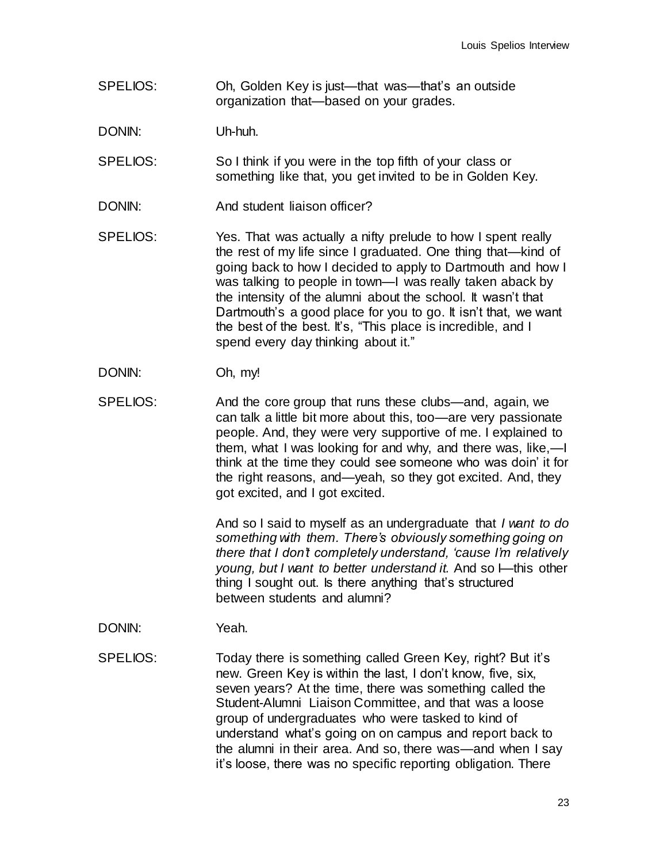- SPELIOS: Oh, Golden Key is just—that was—that's an outside organization that—based on your grades.
- DONIN: Uh-huh.
- SPELIOS: So I think if you were in the top fifth of your class or something like that, you get invited to be in Golden Key.
- DONIN: And student liaison officer?
- SPELIOS: Yes. That was actually a nifty prelude to how I spent really the rest of my life since I graduated. One thing that—kind of going back to how I decided to apply to Dartmouth and how I was talking to people in town—I was really taken aback by the intensity of the alumni about the school. It wasn't that Dartmouth's a good place for you to go. It isn't that, we want the best of the best. It's, "This place is incredible, and I spend every day thinking about it."
- DONIN: Oh, my!
- SPELIOS: And the core group that runs these clubs—and, again, we can talk a little bit more about this, too—are very passionate people. And, they were very supportive of me. I explained to them, what I was looking for and why, and there was, like,—I think at the time they could see someone who was doin' it for the right reasons, and—yeah, so they got excited. And, they got excited, and I got excited.

And so I said to myself as an undergraduate that *I want to do something with them. There's obviously something going on there that I don't completely understand, 'cause I'm relatively young, but I want to better understand it.* And so I—this other thing I sought out. Is there anything that's structured between students and alumni?

- DONIN: Yeah.
- SPELIOS: Today there is something called Green Key, right? But it's new. Green Key is within the last, I don't know, five, six, seven years? At the time, there was something called the Student-Alumni Liaison Committee, and that was a loose group of undergraduates who were tasked to kind of understand what's going on on campus and report back to the alumni in their area. And so, there was—and when I say it's loose, there was no specific reporting obligation. There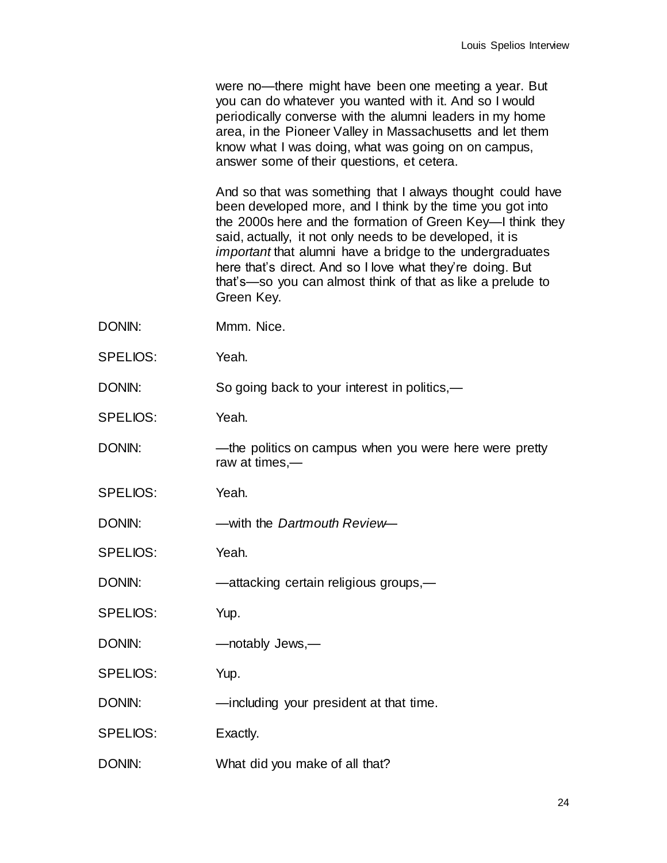were no—there might have been one meeting a year. But you can do whatever you wanted with it. And so I would periodically converse with the alumni leaders in my home area, in the Pioneer Valley in Massachusetts and let them know what I was doing, what was going on on campus, answer some of their questions, et cetera.

And so that was something that I always thought could have been developed more, and I think by the time you got into the 2000s here and the formation of Green Key—I think they said, actually, it not only needs to be developed, it is *important* that alumni have a bridge to the undergraduates here that's direct. And so I love what they're doing. But that's—so you can almost think of that as like a prelude to Green Key.

- DONIN: Mmm. Nice.
- SPELIOS: Yeah.
- DONIN: So going back to your interest in politics,—
- SPELIOS: Yeah.
- DONIN: —the politics on campus when you were here were pretty raw at times,—
- SPELIOS: Yeah.
- DONIN: —with the *Dartmouth Review*—
- SPELIOS: Yeah.
- DONIN: —attacking certain religious groups,
- SPELIOS: Yup.
- DONIN: — notably Jews, —
- SPELIOS: Yup.
- DONIN: —including your president at that time.
- SPELIOS: Exactly.
- DONIN: What did you make of all that?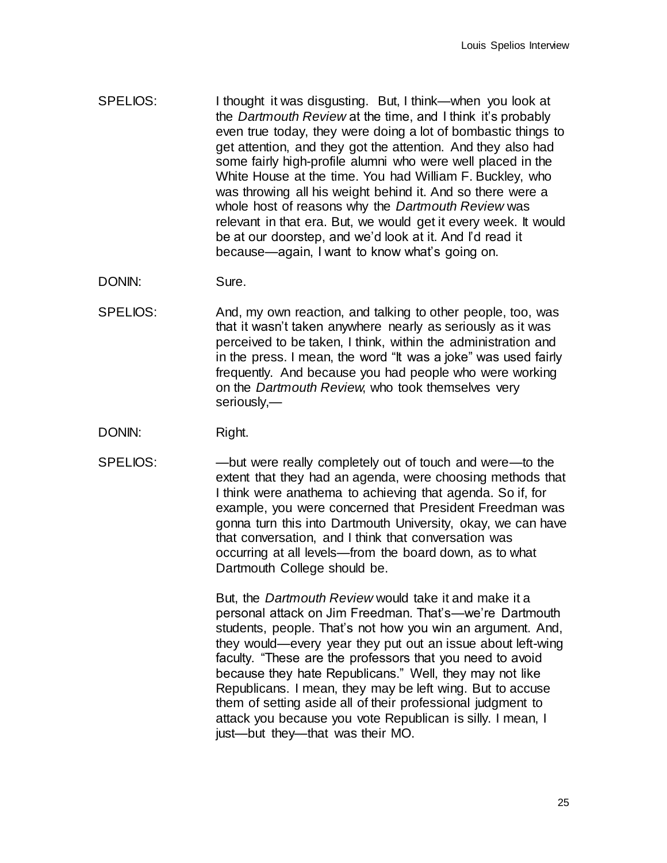- SPELIOS: I thought it was disgusting. But, I think—when you look at the *Dartmouth Review* at the time, and I think it's probably even true today, they were doing a lot of bombastic things to get attention, and they got the attention. And they also had some fairly high-profile alumni who were well placed in the White House at the time. You had William F. Buckley, who was throwing all his weight behind it. And so there were a whole host of reasons why the *Dartmouth Review* was relevant in that era. But, we would get it every week. It would be at our doorstep, and we'd look at it. And I'd read it because—again, I want to know what's going on.
- DONIN: Sure.
- SPELIOS: And, my own reaction, and talking to other people, too, was that it wasn't taken anywhere nearly as seriously as it was perceived to be taken, I think, within the administration and in the press. I mean, the word "It was a joke" was used fairly frequently. And because you had people who were working on the *Dartmouth Review*, who took themselves very seriously,—
- DONIN: Right.
- SPELIOS: —but were really completely out of touch and were—to the extent that they had an agenda, were choosing methods that I think were anathema to achieving that agenda. So if, for example, you were concerned that President Freedman was gonna turn this into Dartmouth University, okay, we can have that conversation, and I think that conversation was occurring at all levels—from the board down, as to what Dartmouth College should be.

But, the *Dartmouth Review* would take it and make it a personal attack on Jim Freedman. That's—we're Dartmouth students, people. That's not how you win an argument. And, they would—every year they put out an issue about left-wing faculty. "These are the professors that you need to avoid because they hate Republicans." Well, they may not like Republicans. I mean, they may be left wing. But to accuse them of setting aside all of their professional judgment to attack you because you vote Republican is silly. I mean, I just—but they—that was their MO.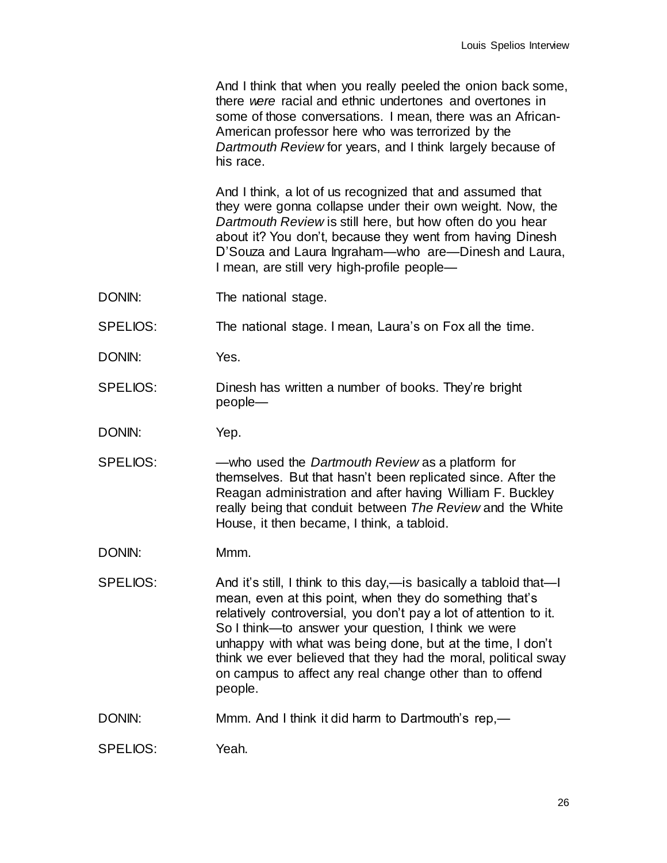And I think that when you really peeled the onion back some, there *were* racial and ethnic undertones and overtones in some of those conversations. I mean, there was an African-American professor here who was terrorized by the *Dartmouth Review* for years, and I think largely because of his race.

And I think, a lot of us recognized that and assumed that they were gonna collapse under their own weight. Now, the *Dartmouth Review* is still here, but how often do you hear about it? You don't, because they went from having Dinesh D'Souza and Laura Ingraham—who are—Dinesh and Laura, I mean, are still very high-profile people—

DONIN: The national stage.

SPELIOS: The national stage. I mean, Laura's on Fox all the time.

- DONIN: Yes.
- SPELIOS: Dinesh has written a number of books. They're bright people—
- DONIN: Yep.
- SPELIOS: —who used the *Dartmouth Review* as a platform for themselves. But that hasn't been replicated since. After the Reagan administration and after having William F. Buckley really being that conduit between *The Review* and the White House, it then became, I think, a tabloid.
- DONIN: Mmm.
- SPELIOS: And it's still, I think to this day,—is basically a tabloid that—I mean, even at this point, when they do something that's relatively controversial, you don't pay a lot of attention to it. So I think—to answer your question, I think we were unhappy with what was being done, but at the time, I don't think we ever believed that they had the moral, political sway on campus to affect any real change other than to offend people.
- DONIN: Mmm. And I think it did harm to Dartmouth's rep,—
- SPELIOS: Yeah.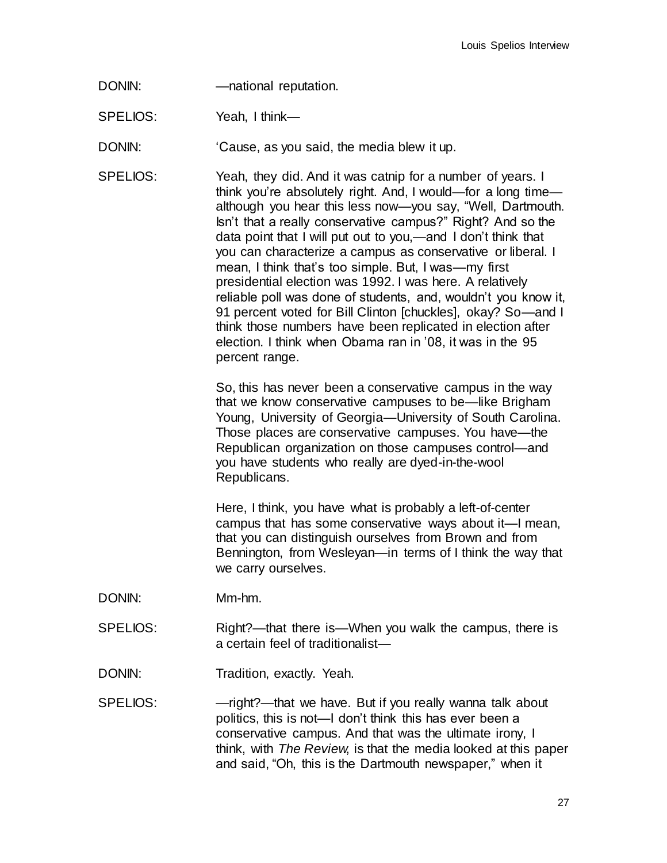DONIN: — — mational reputation.

SPELIOS: Yeah, I think-

DONIN: 'Cause, as you said, the media blew it up.

SPELIOS: Yeah, they did. And it was catnip for a number of years. I think you're absolutely right. And, I would—for a long time although you hear this less now—you say, "Well, Dartmouth. Isn't that a really conservative campus?" Right? And so the data point that I will put out to you,—and I don't think that you can characterize a campus as conservative or liberal. I mean, I think that's too simple. But, I was—my first presidential election was 1992. I was here. A relatively reliable poll was done of students, and, wouldn't you know it, 91 percent voted for Bill Clinton [chuckles], okay? So-and I think those numbers have been replicated in election after election. I think when Obama ran in '08, it was in the 95 percent range.

> So, this has never been a conservative campus in the way that we know conservative campuses to be—like Brigham Young, University of Georgia—University of South Carolina. Those places are conservative campuses. You have—the Republican organization on those campuses control—and you have students who really are dyed-in-the-wool Republicans.

> Here, I think, you have what is probably a left-of-center campus that has some conservative ways about it—I mean, that you can distinguish ourselves from Brown and from Bennington, from Wesleyan—in terms of I think the way that we carry ourselves.

- DONIN: Mm-hm.
- SPELIOS: Right?—that there is—When you walk the campus, there is a certain feel of traditionalist—
- DONIN: Tradition, exactly. Yeah.

SPELIOS: — — might?— that we have. But if you really wanna talk about politics, this is not—I don't think this has ever been a conservative campus. And that was the ultimate irony, I think, with *The Review*, is that the media looked at this paper and said, "Oh, this is the Dartmouth newspaper," when it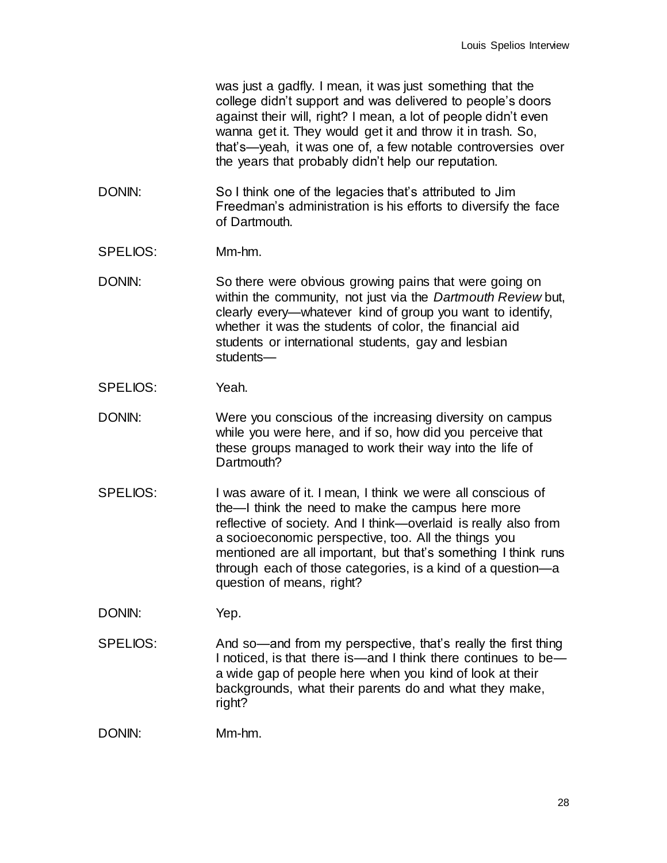was just a gadfly. I mean, it was just something that the college didn't support and was delivered to people's doors against their will, right? I mean, a lot of people didn't even wanna get it. They would get it and throw it in trash. So, that's—yeah, it was one of, a few notable controversies over the years that probably didn't help our reputation.

- DONIN: So I think one of the legacies that's attributed to Jim Freedman's administration is his efforts to diversify the face of Dartmouth.
- SPELIOS: Mm-hm.
- DONIN: So there were obvious growing pains that were going on within the community, not just via the *Dartmouth Review* but, clearly every—whatever kind of group you want to identify, whether it was the students of color, the financial aid students or international students, gay and lesbian students—
- SPELIOS: Yeah.
- DONIN: Were you conscious of the increasing diversity on campus while you were here, and if so, how did you perceive that these groups managed to work their way into the life of Dartmouth?
- SPELIOS: I was aware of it. I mean, I think we were all conscious of the—I think the need to make the campus here more reflective of society. And I think—overlaid is really also from a socioeconomic perspective, too. All the things you mentioned are all important, but that's something I think runs through each of those categories, is a kind of a question—a question of means, right?
- DONIN: Yep.
- SPELIOS: And so—and from my perspective, that's really the first thing I noticed, is that there is—and I think there continues to be a wide gap of people here when you kind of look at their backgrounds, what their parents do and what they make, right?

DONIN: Mm-hm.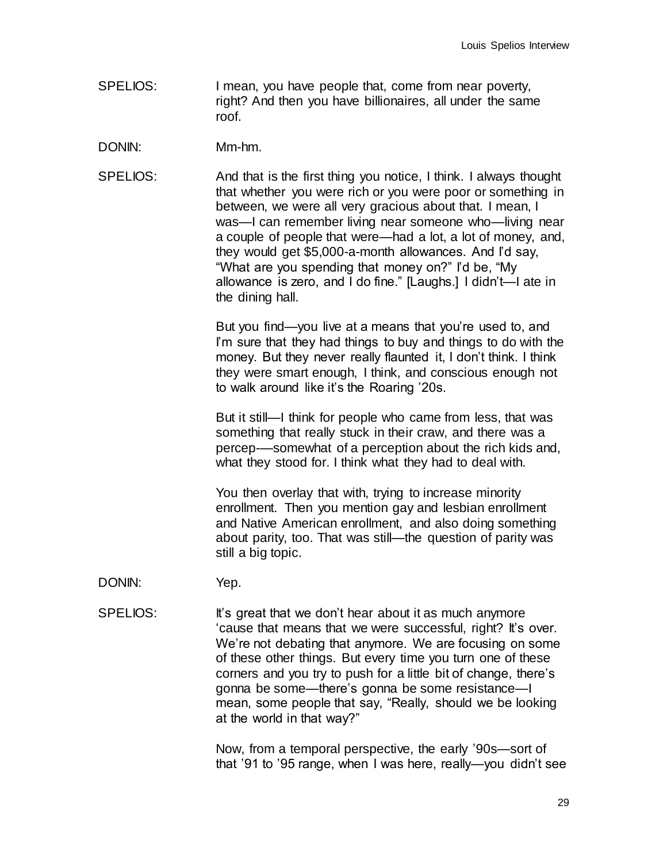SPELIOS: I mean, you have people that, come from near poverty, right? And then you have billionaires, all under the same roof.

DONIN: Mm-hm.

SPELIOS: And that is the first thing you notice, I think. I always thought that whether you were rich or you were poor or something in between, we were all very gracious about that. I mean, I was—I can remember living near someone who—living near a couple of people that were—had a lot, a lot of money, and, they would get \$5,000-a-month allowances. And I'd say, "What are you spending that money on?" I'd be, "My allowance is zero, and I do fine." [Laughs.] I didn't—I ate in the dining hall.

> But you find—you live at a means that you're used to, and I'm sure that they had things to buy and things to do with the money. But they never really flaunted it, I don't think. I think they were smart enough, I think, and conscious enough not to walk around like it's the Roaring '20s.

But it still—I think for people who came from less, that was something that really stuck in their craw, and there was a percep-—somewhat of a perception about the rich kids and, what they stood for. I think what they had to deal with.

You then overlay that with, trying to increase minority enrollment. Then you mention gay and lesbian enrollment and Native American enrollment, and also doing something about parity, too. That was still—the question of parity was still a big topic.

DONIN: Yep.

SPELIOS: It's great that we don't hear about it as much anymore 'cause that means that we were successful, right? It's over. We're not debating that anymore. We are focusing on some of these other things. But every time you turn one of these corners and you try to push for a little bit of change, there's gonna be some—there's gonna be some resistance—I mean, some people that say, "Really, should we be looking at the world in that way?"

> Now, from a temporal perspective, the early '90s—sort of that '91 to '95 range, when I was here, really—you didn't see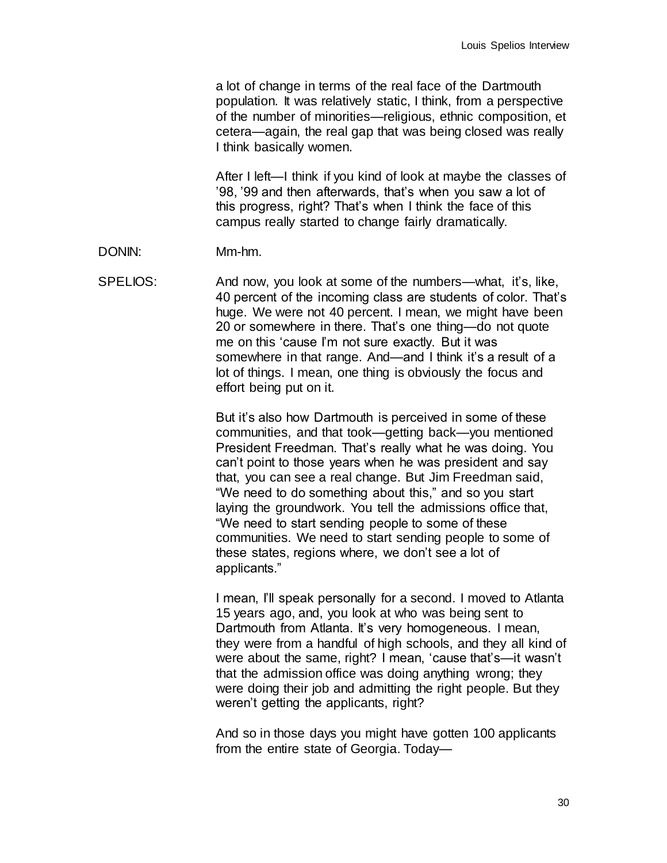a lot of change in terms of the real face of the Dartmouth population. It was relatively static, I think, from a perspective of the number of minorities—religious, ethnic composition, et cetera—again, the real gap that was being closed was really I think basically women.

After I left—I think if you kind of look at maybe the classes of '98, '99 and then afterwards, that's when you saw a lot of this progress, right? That's when I think the face of this campus really started to change fairly dramatically.

DONIN: Mm-hm.

SPELIOS: And now, you look at some of the numbers—what, it's, like, 40 percent of the incoming class are students of color. That's huge. We were not 40 percent. I mean, we might have been 20 or somewhere in there. That's one thing—do not quote me on this 'cause I'm not sure exactly. But it was somewhere in that range. And—and I think it's a result of a lot of things. I mean, one thing is obviously the focus and effort being put on it.

> But it's also how Dartmouth is perceived in some of these communities, and that took—getting back—you mentioned President Freedman. That's really what he was doing. You can't point to those years when he was president and say that, you can see a real change. But Jim Freedman said, "We need to do something about this," and so you start laying the groundwork. You tell the admissions office that, "We need to start sending people to some of these communities. We need to start sending people to some of these states, regions where, we don't see a lot of applicants."

I mean, I'll speak personally for a second. I moved to Atlanta 15 years ago, and, you look at who was being sent to Dartmouth from Atlanta. It's very homogeneous. I mean, they were from a handful of high schools, and they all kind of were about the same, right? I mean, 'cause that's—it wasn't that the admission office was doing anything wrong; they were doing their job and admitting the right people. But they weren't getting the applicants, right?

And so in those days you might have gotten 100 applicants from the entire state of Georgia. Today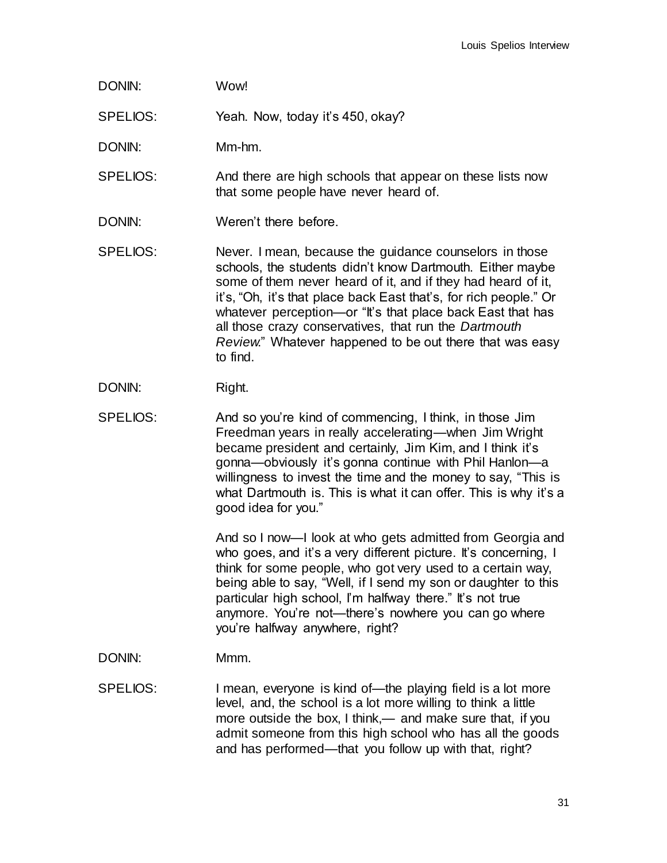DONIN: Wow!

SPELIOS: Yeah. Now, today it's 450, okay?

DONIN: Mm-hm.

SPELIOS: And there are high schools that appear on these lists now that some people have never heard of.

- DONIN: Weren't there before.
- SPELIOS: Never. I mean, because the guidance counselors in those schools, the students didn't know Dartmouth. Either maybe some of them never heard of it, and if they had heard of it, it's, "Oh, it's that place back East that's, for rich people." Or whatever perception—or "It's that place back East that has all those crazy conservatives, that run the *Dartmouth Review*." Whatever happened to be out there that was easy to find.
- DONIN: Right.
- SPELIOS: And so you're kind of commencing, I think, in those Jim Freedman years in really accelerating—when Jim Wright became president and certainly, Jim Kim, and I think it's gonna—obviously it's gonna continue with Phil Hanlon—a willingness to invest the time and the money to say, "This is what Dartmouth is. This is what it can offer. This is why it's a good idea for you."

And so I now—I look at who gets admitted from Georgia and who goes, and it's a very different picture. It's concerning, I think for some people, who got very used to a certain way, being able to say, "Well, if I send my son or daughter to this particular high school, I'm halfway there." It's not true anymore. You're not—there's nowhere you can go where you're halfway anywhere, right?

- DONIN: Mmm.
- SPELIOS: I mean, everyone is kind of—the playing field is a lot more level, and, the school is a lot more willing to think a little more outside the box, I think,— and make sure that, if you admit someone from this high school who has all the goods and has performed—that you follow up with that, right?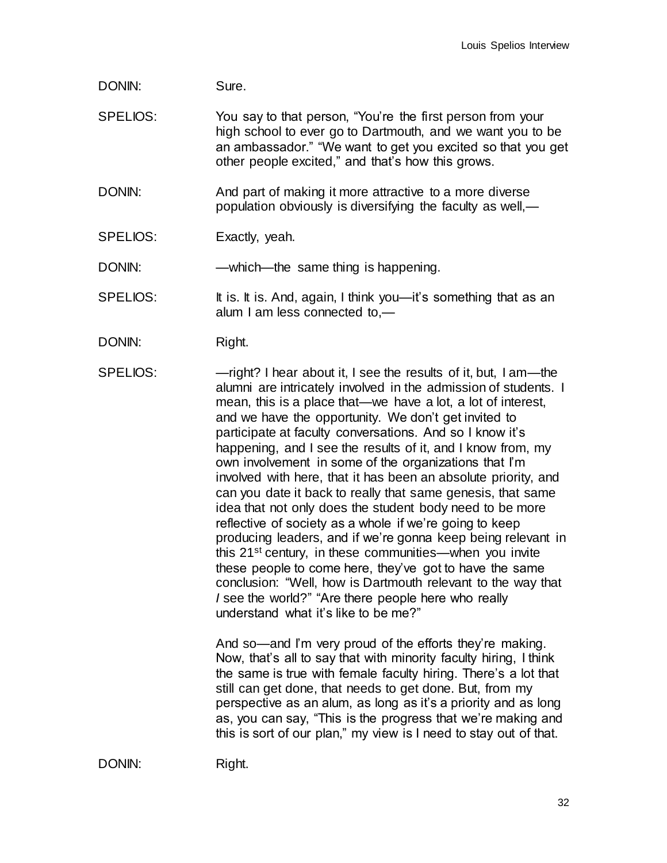## DONIN: Sure.

SPELIOS: You say to that person, "You're the first person from your high school to ever go to Dartmouth, and we want you to be an ambassador." "We want to get you excited so that you get other people excited," and that's how this grows.

DONIN: And part of making it more attractive to a more diverse population obviously is diversifying the faculty as well,—

SPELIOS: Exactly, yeah.

DONIN: —which—the same thing is happening.

SPELIOS: It is. It is. And, again, I think you—it's something that as an alum I am less connected to,—

DONIN: Right.

SPELIOS: — — might? I hear about it, I see the results of it, but, I am—the alumni are intricately involved in the admission of students. I mean, this is a place that—we have a lot, a lot of interest, and we have the opportunity. We don't get invited to participate at faculty conversations. And so I know it's happening, and I see the results of it, and I know from, my own involvement in some of the organizations that I'm involved with here, that it has been an absolute priority, and can you date it back to really that same genesis, that same idea that not only does the student body need to be more reflective of society as a whole if we're going to keep producing leaders, and if we're gonna keep being relevant in this 21<sup>st</sup> century, in these communities—when you invite these people to come here, they've got to have the same conclusion: "Well, how is Dartmouth relevant to the way that *I* see the world?" "Are there people here who really understand what it's like to be me?"

> And so—and I'm very proud of the efforts they're making. Now, that's all to say that with minority faculty hiring, I think the same is true with female faculty hiring. There's a lot that still can get done, that needs to get done. But, from my perspective as an alum, as long as it's a priority and as long as, you can say, "This is the progress that we're making and this is sort of our plan," my view is I need to stay out of that.

DONIN: Right.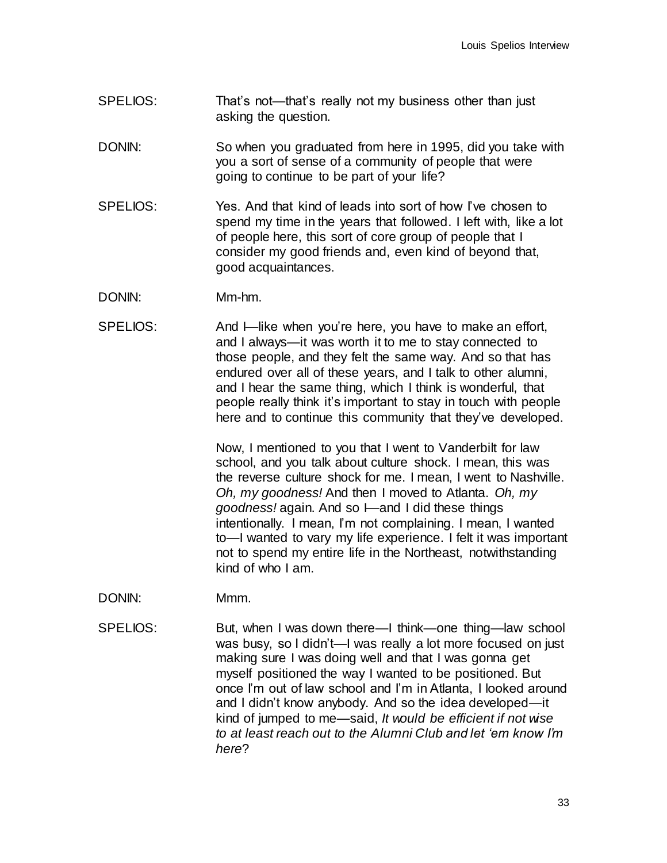- SPELIOS: That's not—that's really not my business other than just asking the question.
- DONIN: So when you graduated from here in 1995, did you take with you a sort of sense of a community of people that were going to continue to be part of your life?
- SPELIOS: Yes. And that kind of leads into sort of how I've chosen to spend my time in the years that followed. I left with, like a lot of people here, this sort of core group of people that I consider my good friends and, even kind of beyond that, good acquaintances.
- DONIN: Mm-hm.
- SPELIOS: And I—like when you're here, you have to make an effort, and I always—it was worth it to me to stay connected to those people, and they felt the same way. And so that has endured over all of these years, and I talk to other alumni, and I hear the same thing, which I think is wonderful, that people really think it's important to stay in touch with people here and to continue this community that they've developed.

Now, I mentioned to you that I went to Vanderbilt for law school, and you talk about culture shock. I mean, this was the reverse culture shock for me. I mean, I went to Nashville. *Oh, my goodness!* And then I moved to Atlanta. *Oh, my goodness!* again. And so I—and I did these things intentionally. I mean, I'm not complaining. I mean, I wanted to—I wanted to vary my life experience. I felt it was important not to spend my entire life in the Northeast, notwithstanding kind of who I am.

- DONIN: Mmm.
- SPELIOS: But, when I was down there—I think—one thing—law school was busy, so I didn't—I was really a lot more focused on just making sure I was doing well and that I was gonna get myself positioned the way I wanted to be positioned. But once I'm out of law school and I'm in Atlanta, I looked around and I didn't know anybody. And so the idea developed—it kind of jumped to me—said, *It would be efficient if not wise to at least reach out to the Alumni Club and let 'em know I'm here*?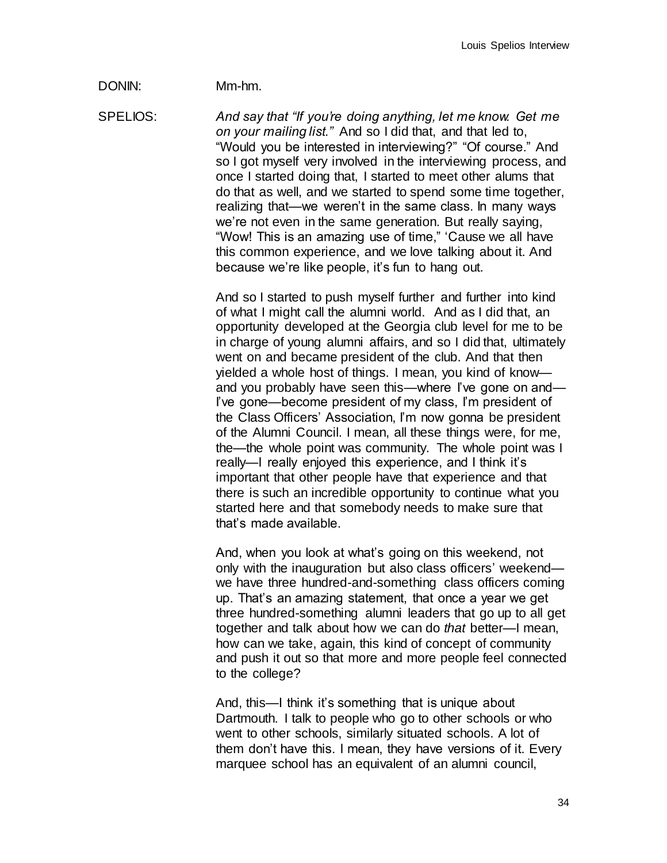## DONIN: Mm-hm.

SPELIOS: *And say that "If you're doing anything, let me know. Get me on your mailing list."* And so I did that, and that led to, "Would you be interested in interviewing?" "Of course." And so I got myself very involved in the interviewing process, and once I started doing that, I started to meet other alums that do that as well, and we started to spend some time together, realizing that—we weren't in the same class. In many ways we're not even in the same generation. But really saying, "Wow! This is an amazing use of time," 'Cause we all have this common experience, and we love talking about it. And because we're like people, it's fun to hang out.

> And so I started to push myself further and further into kind of what I might call the alumni world. And as I did that, an opportunity developed at the Georgia club level for me to be in charge of young alumni affairs, and so I did that, ultimately went on and became president of the club. And that then yielded a whole host of things. I mean, you kind of know and you probably have seen this—where I've gone on and— I've gone—become president of my class, I'm president of the Class Officers' Association, I'm now gonna be president of the Alumni Council. I mean, all these things were, for me, the—the whole point was community. The whole point was I really—I really enjoyed this experience, and I think it's important that other people have that experience and that there is such an incredible opportunity to continue what you started here and that somebody needs to make sure that that's made available.

> And, when you look at what's going on this weekend, not only with the inauguration but also class officers' weekend we have three hundred-and-something class officers coming up. That's an amazing statement, that once a year we get three hundred-something alumni leaders that go up to all get together and talk about how we can do *that* better—I mean, how can we take, again, this kind of concept of community and push it out so that more and more people feel connected to the college?

And, this—I think it's something that is unique about Dartmouth. I talk to people who go to other schools or who went to other schools, similarly situated schools. A lot of them don't have this. I mean, they have versions of it. Every marquee school has an equivalent of an alumni council,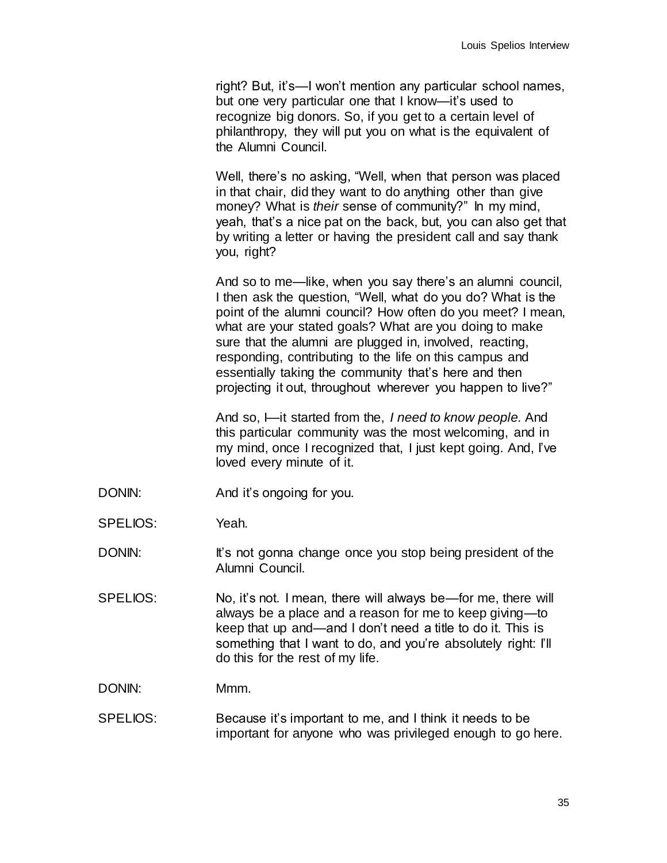right? But, it's—I won't mention any particular school names, but one very particular one that I know—it's used to recognize big donors. So, if you get to a certain level of philanthropy, they will put you on what is the equivalent of the Alumni Council.

Well, there's no asking, "Well, when that person was placed in that chair, did they want to do anything other than give money? What is *their* sense of community?" In my mind, yeah, that's a nice pat on the back, but, you can also get that by writing a letter or having the president call and say thank you, right?

And so to me—like, when you say there's an alumni council, I then ask the question, "Well, what do you do? What is the point of the alumni council? How often do you meet? I mean, what are your stated goals? What are you doing to make sure that the alumni are plugged in, involved, reacting, responding, contributing to the life on this campus and essentially taking the community that's here and then projecting it out, throughout wherever you happen to live?"

And so, I—it started from the, *I need to know people.* And this particular community was the most welcoming, and in my mind, once I recognized that, I just kept going. And, I've loved every minute of it.

- DONIN: And it's ongoing for you.
- SPELIOS: Yeah.
- DONIN: It's not gonna change once you stop being president of the Alumni Council.
- SPELIOS: No, it's not. I mean, there will always be—for me, there will always be a place and a reason for me to keep giving—to keep that up and—and I don't need a title to do it. This is something that I want to do, and you're absolutely right: I'll do this for the rest of my life.

DONIN: Mmm.

SPELIOS: Because it's important to me, and I think it needs to be important for anyone who was privileged enough to go here.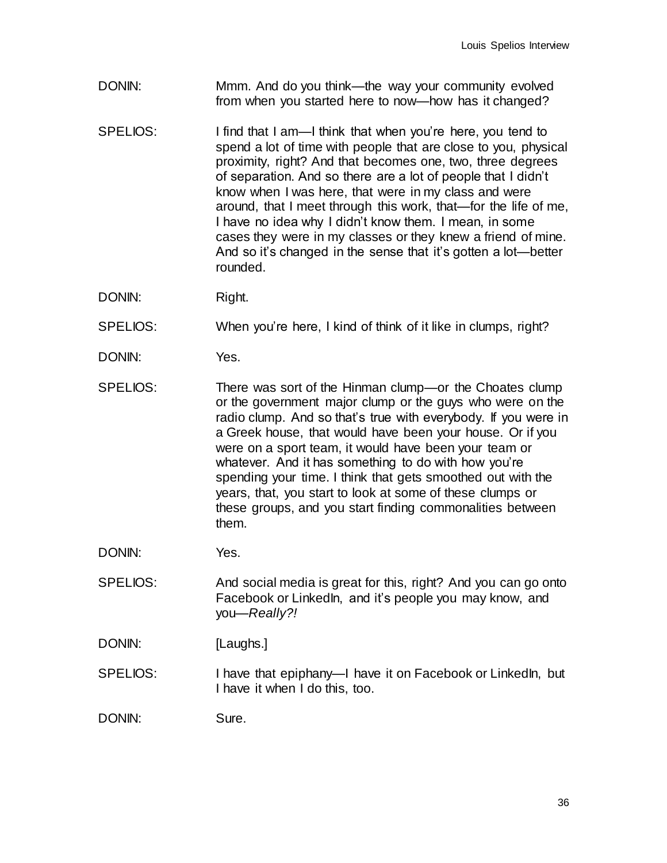- DONIN: Mmm. And do you think—the way your community evolved from when you started here to now—how has it changed?
- SPELIOS: I find that I am—I think that when you're here, you tend to spend a lot of time with people that are close to you, physical proximity, right? And that becomes one, two, three degrees of separation. And so there are a lot of people that I didn't know when I was here, that were in my class and were around, that I meet through this work, that—for the life of me, I have no idea why I didn't know them. I mean, in some cases they were in my classes or they knew a friend of mine. And so it's changed in the sense that it's gotten a lot—better rounded.
- DONIN: Right.
- SPELIOS: When you're here, I kind of think of it like in clumps, right?
- DONIN: Yes.
- SPELIOS: There was sort of the Hinman clump—or the Choates clump or the government major clump or the guys who were on the radio clump. And so that's true with everybody. If you were in a Greek house, that would have been your house. Or if you were on a sport team, it would have been your team or whatever. And it has something to do with how you're spending your time. I think that gets smoothed out with the years, that, you start to look at some of these clumps or these groups, and you start finding commonalities between them.
- DONIN: Yes.
- SPELIOS: And social media is great for this, right? And you can go onto Facebook or LinkedIn, and it's people you may know, and you—*Really?!*
- DONIN: [Laughs.]
- SPELIOS: I have that epiphany—I have it on Facebook or LinkedIn, but I have it when I do this, too.
- DONIN: Sure.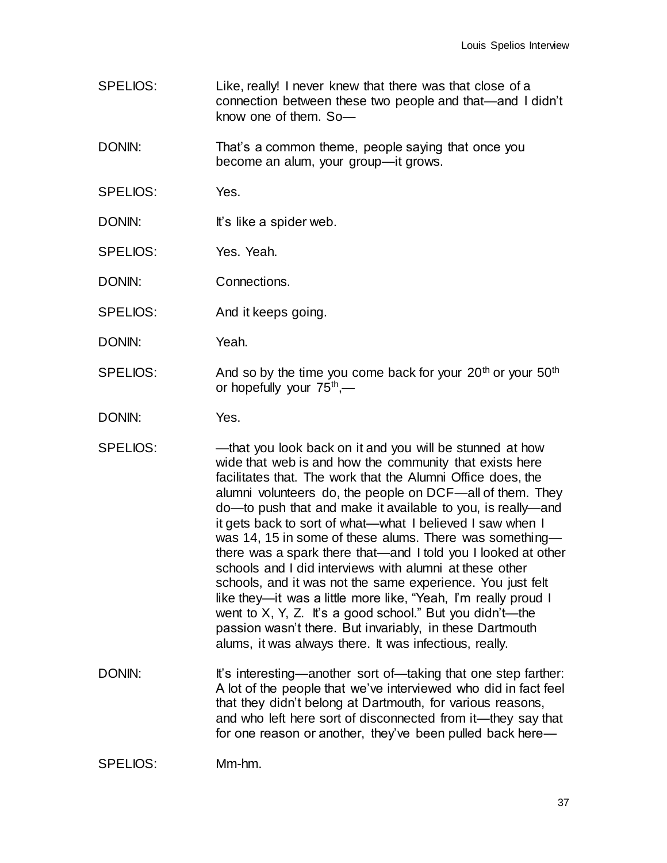SPELIOS: Like, really! I never knew that there was that close of a connection between these two people and that—and I didn't know one of them. So—

DONIN: That's a common theme, people saying that once you become an alum, your group—it grows.

- SPELIOS: Yes.
- DONIN: It's like a spider web.
- SPELIOS: Yes. Yeah.

DONIN: Connections.

- SPELIOS: And it keeps going.
- DONIN: Yeah.
- SPELIOS: And so by the time you come back for your  $20<sup>th</sup>$  or your  $50<sup>th</sup>$ or hopefully your 75<sup>th</sup>,—

DONIN: Yes.

- SPELIOS: —that you look back on it and you will be stunned at how wide that web is and how the community that exists here facilitates that. The work that the Alumni Office does, the alumni volunteers do, the people on DCF—all of them. They do—to push that and make it available to you, is really—and it gets back to sort of what—what I believed I saw when I was 14, 15 in some of these alums. There was something there was a spark there that—and I told you I looked at other schools and I did interviews with alumni at these other schools, and it was not the same experience. You just felt like they—it was a little more like, "Yeah, I'm really proud I went to  $X$ ,  $Y$ ,  $Z$ . It's a good school." But you didn't—the passion wasn't there. But invariably, in these Dartmouth alums, it was always there. It was infectious, really.
- DONIN: It's interesting—another sort of—taking that one step farther: A lot of the people that we've interviewed who did in fact feel that they didn't belong at Dartmouth, for various reasons, and who left here sort of disconnected from it—they say that for one reason or another, they've been pulled back here—

SPELIOS: Mm-hm.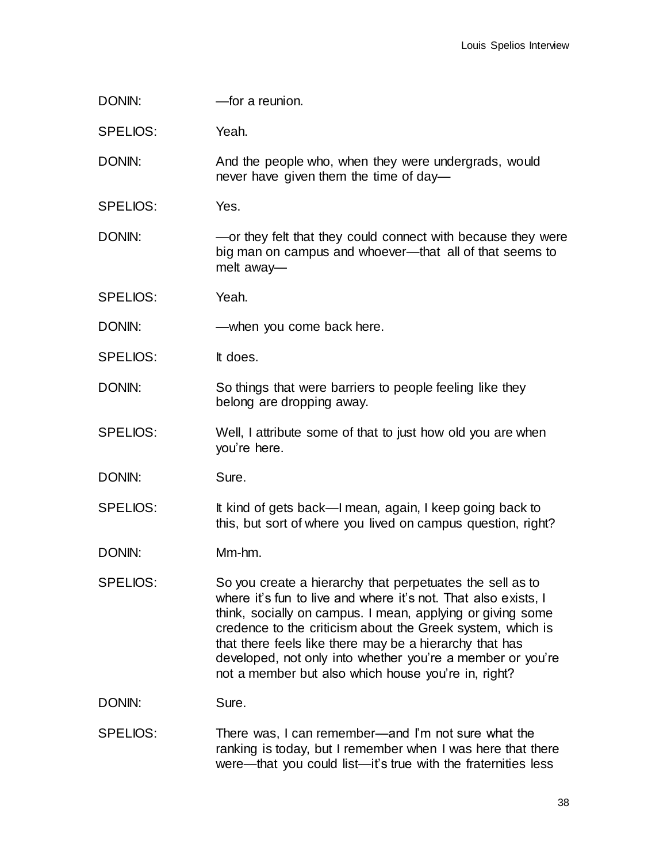| DONIN:          | -for a reunion.                                                                                                                                                                                                                                                                                                                                                                                                                         |
|-----------------|-----------------------------------------------------------------------------------------------------------------------------------------------------------------------------------------------------------------------------------------------------------------------------------------------------------------------------------------------------------------------------------------------------------------------------------------|
| SPELIOS:        | Yeah.                                                                                                                                                                                                                                                                                                                                                                                                                                   |
| DONIN:          | And the people who, when they were undergrads, would<br>never have given them the time of day-                                                                                                                                                                                                                                                                                                                                          |
| SPELIOS:        | Yes.                                                                                                                                                                                                                                                                                                                                                                                                                                    |
| DONIN:          | -or they felt that they could connect with because they were<br>big man on campus and whoever—that all of that seems to<br>melt away-                                                                                                                                                                                                                                                                                                   |
| <b>SPELIOS:</b> | Yeah.                                                                                                                                                                                                                                                                                                                                                                                                                                   |
| DONIN:          | -when you come back here.                                                                                                                                                                                                                                                                                                                                                                                                               |
| <b>SPELIOS:</b> | It does.                                                                                                                                                                                                                                                                                                                                                                                                                                |
| DONIN:          | So things that were barriers to people feeling like they<br>belong are dropping away.                                                                                                                                                                                                                                                                                                                                                   |
| <b>SPELIOS:</b> | Well, I attribute some of that to just how old you are when<br>you're here.                                                                                                                                                                                                                                                                                                                                                             |
| DONIN:          | Sure.                                                                                                                                                                                                                                                                                                                                                                                                                                   |
| <b>SPELIOS:</b> | It kind of gets back—I mean, again, I keep going back to<br>this, but sort of where you lived on campus question, right?                                                                                                                                                                                                                                                                                                                |
| DONIN:          | Mm-hm.                                                                                                                                                                                                                                                                                                                                                                                                                                  |
| SPELIOS:        | So you create a hierarchy that perpetuates the sell as to<br>where it's fun to live and where it's not. That also exists, I<br>think, socially on campus. I mean, applying or giving some<br>credence to the criticism about the Greek system, which is<br>that there feels like there may be a hierarchy that has<br>developed, not only into whether you're a member or you're<br>not a member but also which house you're in, right? |
| DONIN:          | Sure.                                                                                                                                                                                                                                                                                                                                                                                                                                   |
| SPELIOS:        | There was, I can remember—and I'm not sure what the<br>ranking is today, but I remember when I was here that there<br>were—that you could list—it's true with the fraternities less                                                                                                                                                                                                                                                     |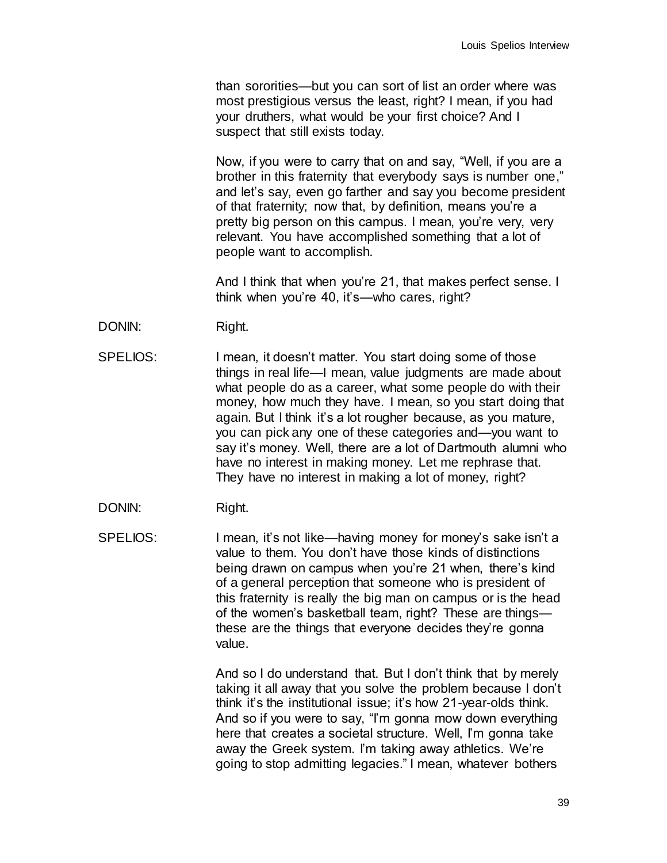than sororities—but you can sort of list an order where was most prestigious versus the least, right? I mean, if you had your druthers, what would be your first choice? And I suspect that still exists today.

Now, if you were to carry that on and say, "Well, if you are a brother in this fraternity that everybody says is number one," and let's say, even go farther and say you become president of that fraternity; now that, by definition, means you're a pretty big person on this campus. I mean, you're very, very relevant. You have accomplished something that a lot of people want to accomplish.

And I think that when you're 21, that makes perfect sense. I think when you're 40, it's—who cares, right?

- DONIN: Right.
- SPELIOS: I mean, it doesn't matter. You start doing some of those things in real life—I mean, value judgments are made about what people do as a career, what some people do with their money, how much they have. I mean, so you start doing that again. But I think it's a lot rougher because, as you mature, you can pick any one of these categories and—you want to say it's money. Well, there are a lot of Dartmouth alumni who have no interest in making money. Let me rephrase that. They have no interest in making a lot of money, right?
- DONIN: Right.

SPELIOS: I mean, it's not like—having money for money's sake isn't a value to them. You don't have those kinds of distinctions being drawn on campus when you're 21 when, there's kind of a general perception that someone who is president of this fraternity is really the big man on campus or is the head of the women's basketball team, right? These are things these are the things that everyone decides they're gonna value.

> And so I do understand that. But I don't think that by merely taking it all away that you solve the problem because I don't think it's the institutional issue; it's how 21-year-olds think. And so if you were to say, "I'm gonna mow down everything here that creates a societal structure. Well, I'm gonna take away the Greek system. I'm taking away athletics. We're going to stop admitting legacies." I mean, whatever bothers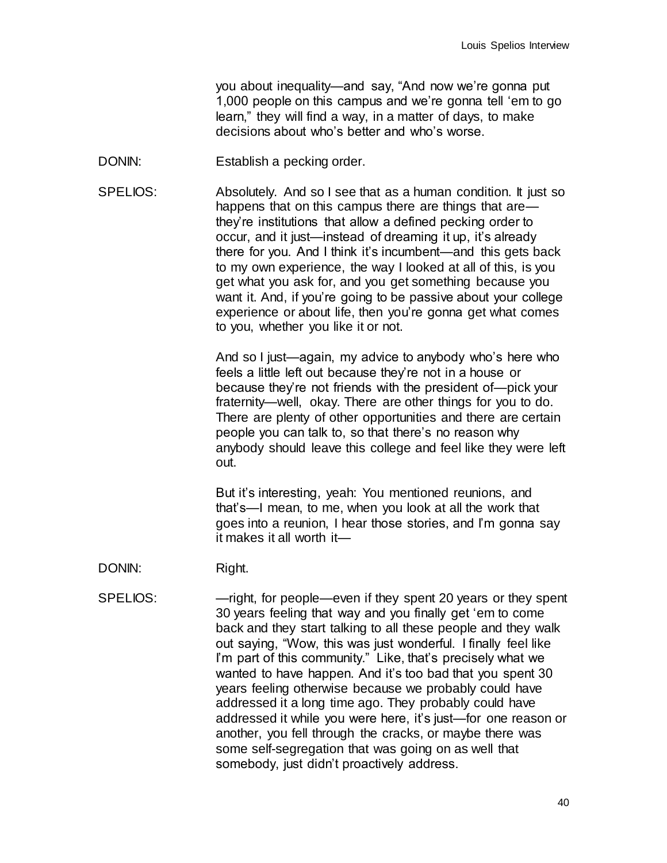you about inequality—and say, "And now we're gonna put 1,000 people on this campus and we're gonna tell 'em to go learn," they will find a way, in a matter of days, to make decisions about who's better and who's worse.

- DONIN: Establish a pecking order.
- SPELIOS: Absolutely. And so I see that as a human condition. It just so happens that on this campus there are things that are they're institutions that allow a defined pecking order to occur, and it just—instead of dreaming it up, it's already there for you. And I think it's incumbent—and this gets back to my own experience, the way I looked at all of this, is you get what you ask for, and you get something because you want it. And, if you're going to be passive about your college experience or about life, then you're gonna get what comes to you, whether you like it or not.

And so I just—again, my advice to anybody who's here who feels a little left out because they're not in a house or because they're not friends with the president of—pick your fraternity—well, okay. There are other things for you to do. There are plenty of other opportunities and there are certain people you can talk to, so that there's no reason why anybody should leave this college and feel like they were left out.

But it's interesting, yeah: You mentioned reunions, and that's—I mean, to me, when you look at all the work that goes into a reunion, I hear those stories, and I'm gonna say it makes it all worth it—

DONIN: Right. SPELIOS: — — might, for people—even if they spent 20 years or they spent 30 years feeling that way and you finally get 'em to come back and they start talking to all these people and they walk out saying, "Wow, this was just wonderful. I finally feel like I'm part of this community." Like, that's precisely what we wanted to have happen. And it's too bad that you spent 30 years feeling otherwise because we probably could have addressed it a long time ago. They probably could have addressed it while you were here, it's just—for one reason or another, you fell through the cracks, or maybe there was some self-segregation that was going on as well that somebody, just didn't proactively address.